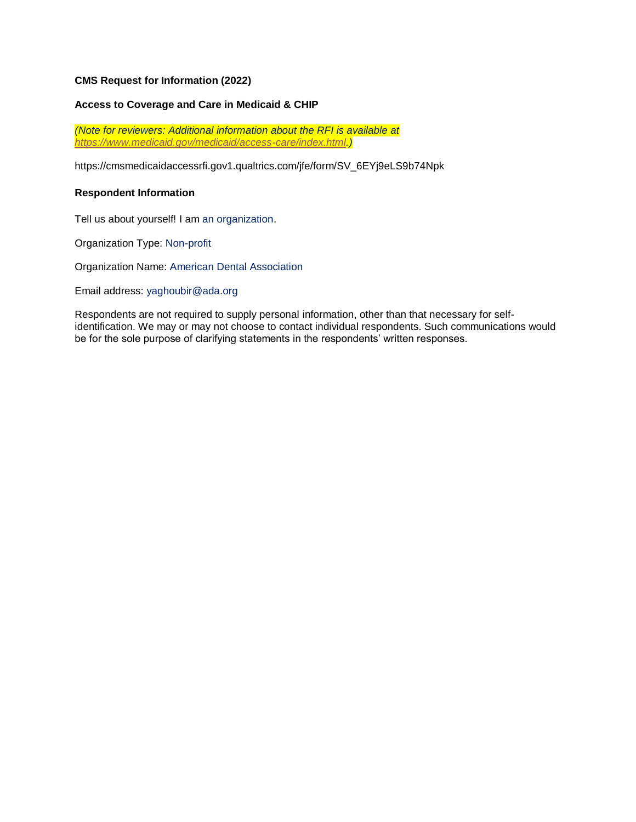# **CMS Request for Information (2022)**

### **Access to Coverage and Care in Medicaid & CHIP**

*(Note for reviewers: Additional information about the RFI is available at [https://www.medicaid.gov/medicaid/access-care/index.html.](https://www.medicaid.gov/medicaid/access-care/index.html))*

[https://cmsmedicaidaccessrfi.gov1.qualtrics.com/jfe/form/SV\\_6EYj9eLS9b74Npk](https://cmsmedicaidaccessrfi.gov1.qualtrics.com/jfe/form/SV_6EYj9eLS9b74Npk)

#### **Respondent Information**

Tell us about yourself! I am an organization.

Organization Type: Non-profit

Organization Name: American Dental Association

Email address: [yaghoubir@ada.org](mailto:yaghoubir@ada.org)

Respondents are not required to supply personal information, other than that necessary for selfidentification. We may or may not choose to contact individual respondents. Such communications would be for the sole purpose of clarifying statements in the respondents' written responses.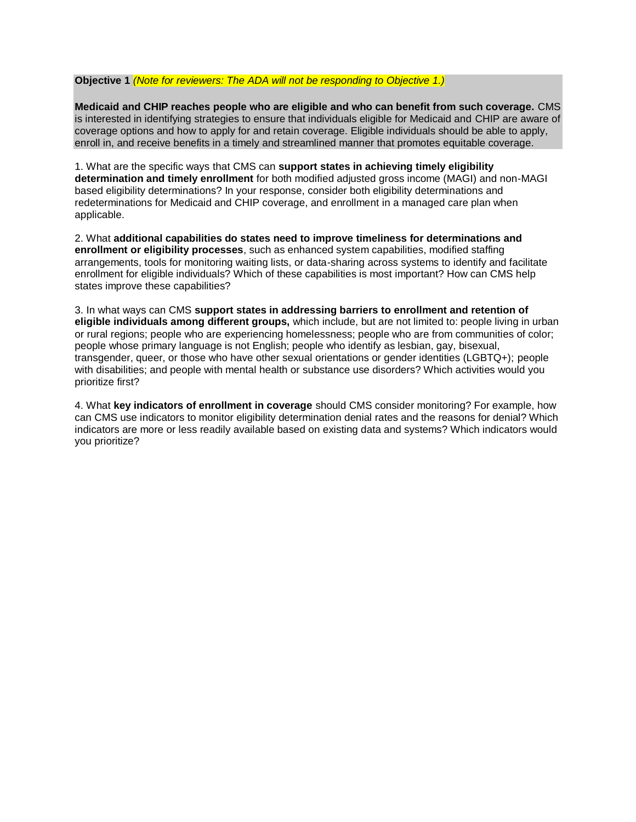# **Objective 1** *(Note for reviewers: The ADA will not be responding to Objective 1.)*

**Medicaid and CHIP reaches people who are eligible and who can benefit from such coverage.** CMS is interested in identifying strategies to ensure that individuals eligible for Medicaid and CHIP are aware of coverage options and how to apply for and retain coverage. Eligible individuals should be able to apply, enroll in, and receive benefits in a timely and streamlined manner that promotes equitable coverage.

1. What are the specific ways that CMS can **support states in achieving timely eligibility determination and timely enrollment** for both modified adjusted gross income (MAGI) and non-MAGI based eligibility determinations? In your response, consider both eligibility determinations and redeterminations for Medicaid and CHIP coverage, and enrollment in a managed care plan when applicable.

2. What **additional capabilities do states need to improve timeliness for determinations and enrollment or eligibility processes**, such as enhanced system capabilities, modified staffing arrangements, tools for monitoring waiting lists, or data-sharing across systems to identify and facilitate enrollment for eligible individuals? Which of these capabilities is most important? How can CMS help states improve these capabilities?

3. In what ways can CMS **support states in addressing barriers to enrollment and retention of eligible individuals among different groups,** which include, but are not limited to: people living in urban or rural regions; people who are experiencing homelessness; people who are from communities of color; people whose primary language is not English; people who identify as lesbian, gay, bisexual, transgender, queer, or those who have other sexual orientations or gender identities (LGBTQ+); people with disabilities; and people with mental health or substance use disorders? Which activities would you prioritize first?

4. What **key indicators of enrollment in coverage** should CMS consider monitoring? For example, how can CMS use indicators to monitor eligibility determination denial rates and the reasons for denial? Which indicators are more or less readily available based on existing data and systems? Which indicators would you prioritize?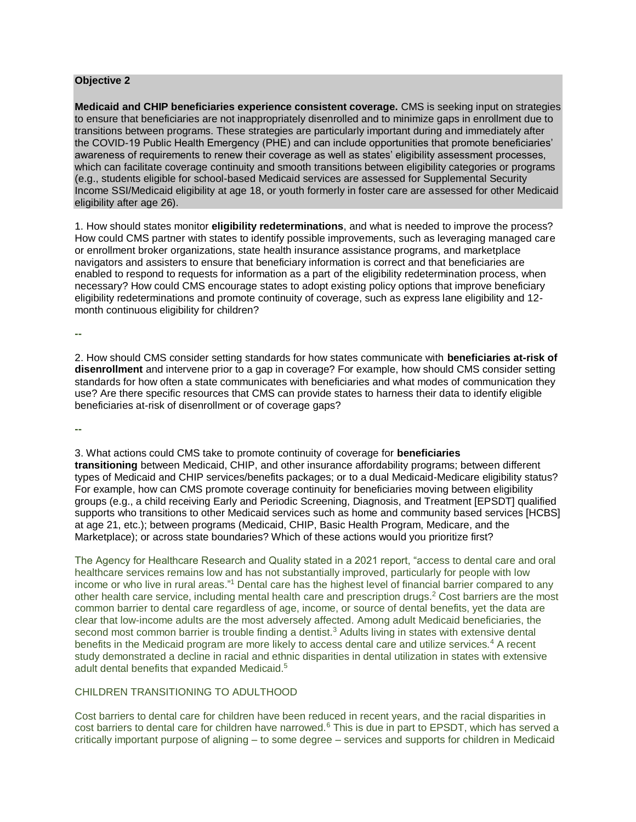# **Objective 2**

**Medicaid and CHIP beneficiaries experience consistent coverage.** CMS is seeking input on strategies to ensure that beneficiaries are not inappropriately disenrolled and to minimize gaps in enrollment due to transitions between programs. These strategies are particularly important during and immediately after the COVID-19 Public Health Emergency (PHE) and can include opportunities that promote beneficiaries' awareness of requirements to renew their coverage as well as states' eligibility assessment processes, which can facilitate coverage continuity and smooth transitions between eligibility categories or programs (e.g., students eligible for school-based Medicaid services are assessed for Supplemental Security Income SSI/Medicaid eligibility at age 18, or youth formerly in foster care are assessed for other Medicaid eligibility after age 26).

1. How should states monitor **eligibility redeterminations**, and what is needed to improve the process? How could CMS partner with states to identify possible improvements, such as leveraging managed care or enrollment broker organizations, state health insurance assistance programs, and marketplace navigators and assisters to ensure that beneficiary information is correct and that beneficiaries are enabled to respond to requests for information as a part of the eligibility redetermination process, when necessary? How could CMS encourage states to adopt existing policy options that improve beneficiary eligibility redeterminations and promote continuity of coverage, such as express lane eligibility and 12 month continuous eligibility for children?

**--**

2. How should CMS consider setting standards for how states communicate with **beneficiaries at-risk of disenrollment** and intervene prior to a gap in coverage? For example, how should CMS consider setting standards for how often a state communicates with beneficiaries and what modes of communication they use? Are there specific resources that CMS can provide states to harness their data to identify eligible beneficiaries at-risk of disenrollment or of coverage gaps?

**--**

3. What actions could CMS take to promote continuity of coverage for **beneficiaries transitioning** between Medicaid, CHIP, and other insurance affordability programs; between different types of Medicaid and CHIP services/benefits packages; or to a dual Medicaid-Medicare eligibility status? For example, how can CMS promote coverage continuity for beneficiaries moving between eligibility groups (e.g., a child receiving Early and Periodic Screening, Diagnosis, and Treatment [EPSDT] qualified supports who transitions to other Medicaid services such as home and community based services [HCBS] at age 21, etc.); between programs (Medicaid, CHIP, Basic Health Program, Medicare, and the Marketplace); or across state boundaries? Which of these actions would you prioritize first?

The Agency for Healthcare Research and Quality stated in a 2021 report, "access to dental care and oral healthcare services remains low and has not substantially improved, particularly for people with low income or who live in rural areas."<sup>1</sup> Dental care has the highest level of financial barrier compared to any other health care service, including mental health care and prescription drugs.<sup>2</sup> Cost barriers are the most common barrier to dental care regardless of age, income, or source of dental benefits, yet the data are clear that low-income adults are the most adversely affected. Among adult Medicaid beneficiaries, the second most common barrier is trouble finding a dentist.<sup>3</sup> Adults living in states with extensive dental benefits in the Medicaid program are more likely to access dental care and utilize services.<sup>4</sup> A recent study demonstrated a decline in racial and ethnic disparities in dental utilization in states with extensive adult dental benefits that expanded Medicaid.<sup>5</sup>

# CHILDREN TRANSITIONING TO ADULTHOOD

Cost barriers to dental care for children have been reduced in recent years, and the racial disparities in cost barriers to dental care for children have narrowed.<sup>6</sup> This is due in part to EPSDT, which has served a critically important purpose of aligning – to some degree – services and supports for children in Medicaid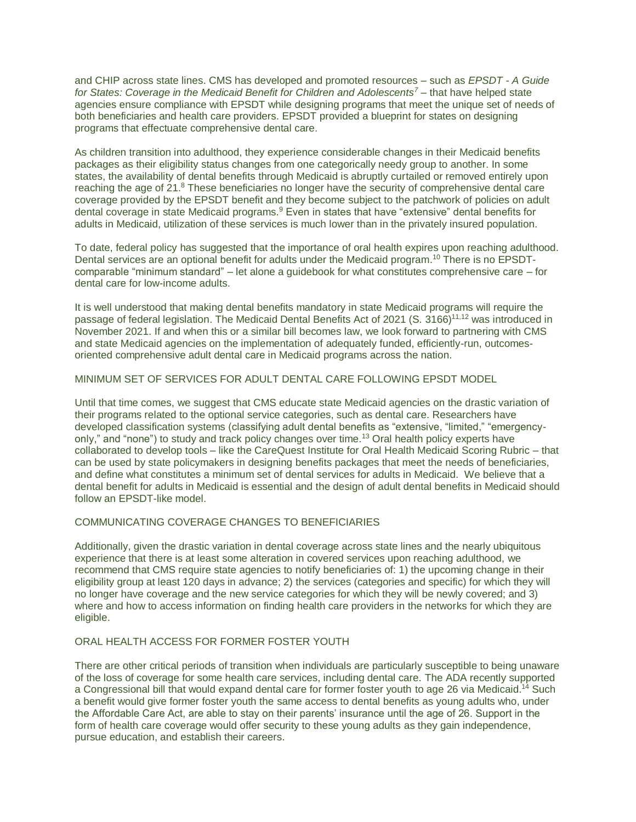and CHIP across state lines. CMS has developed and promoted resources – such as *EPSDT - A Guide for States: Coverage in the Medicaid Benefit for Children and Adolescents<sup>7</sup> –* that have helped state agencies ensure compliance with EPSDT while designing programs that meet the unique set of needs of both beneficiaries and health care providers. EPSDT provided a blueprint for states on designing programs that effectuate comprehensive dental care.

As children transition into adulthood, they experience considerable changes in their Medicaid benefits packages as their eligibility status changes from one categorically needy group to another. In some states, the availability of dental benefits through Medicaid is abruptly curtailed or removed entirely upon reaching the age of 21.8 These beneficiaries no longer have the security of comprehensive dental care coverage provided by the EPSDT benefit and they become subject to the patchwork of policies on adult dental coverage in state Medicaid programs.<sup>9</sup> Even in states that have "extensive" dental benefits for adults in Medicaid, utilization of these services is much lower than in the privately insured population.

To date, federal policy has suggested that the importance of oral health expires upon reaching adulthood. Dental services are an optional benefit for adults under the Medicaid program.<sup>10</sup> There is no EPSDTcomparable "minimum standard" – let alone a guidebook for what constitutes comprehensive care – for dental care for low-income adults.

It is well understood that making dental benefits mandatory in state Medicaid programs will require the passage of federal legislation. The Medicaid Dental Benefits Act of 2021 (S. 3166)<sup>11,12</sup> was introduced in November 2021. If and when this or a similar bill becomes law, we look forward to partnering with CMS and state Medicaid agencies on the implementation of adequately funded, efficiently-run, outcomesoriented comprehensive adult dental care in Medicaid programs across the nation.

# MINIMUM SET OF SERVICES FOR ADULT DENTAL CARE FOLLOWING EPSDT MODEL

Until that time comes, we suggest that CMS educate state Medicaid agencies on the drastic variation of their programs related to the optional service categories, such as dental care. Researchers have developed classification systems (classifying adult dental benefits as "extensive, "limited," "emergencyonly," and "none") to study and track policy changes over time.<sup>13</sup> Oral health policy experts have collaborated to develop tools – like the CareQuest Institute for Oral Health Medicaid Scoring Rubric – that can be used by state policymakers in designing benefits packages that meet the needs of beneficiaries, and define what constitutes a minimum set of dental services for adults in Medicaid. We believe that a dental benefit for adults in Medicaid is essential and the design of adult dental benefits in Medicaid should follow an EPSDT-like model.

# COMMUNICATING COVERAGE CHANGES TO BENEFICIARIES

Additionally, given the drastic variation in dental coverage across state lines and the nearly ubiquitous experience that there is at least some alteration in covered services upon reaching adulthood, we recommend that CMS require state agencies to notify beneficiaries of: 1) the upcoming change in their eligibility group at least 120 days in advance; 2) the services (categories and specific) for which they will no longer have coverage and the new service categories for which they will be newly covered; and 3) where and how to access information on finding health care providers in the networks for which they are eligible.

#### ORAL HEALTH ACCESS FOR FORMER FOSTER YOUTH

There are other critical periods of transition when individuals are particularly susceptible to being unaware of the loss of coverage for some health care services, including dental care. The ADA recently supported a Congressional bill that would expand dental care for former foster youth to age 26 via Medicaid.<sup>14</sup> Such a benefit would give former foster youth the same access to dental benefits as young adults who, under the Affordable Care Act, are able to stay on their parents' insurance until the age of 26. Support in the form of health care coverage would offer security to these young adults as they gain independence, pursue education, and establish their careers.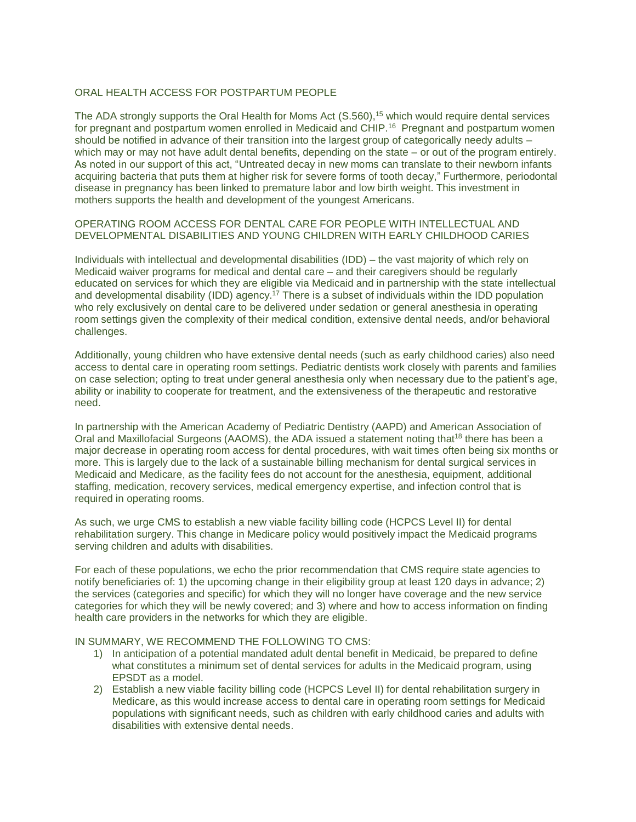# ORAL HEALTH ACCESS FOR POSTPARTUM PEOPLE

The ADA strongly supports the Oral Health for Moms Act (S.560),<sup>15</sup> which would require dental services for pregnant and postpartum women enrolled in Medicaid and CHIP.<sup>16</sup> Pregnant and postpartum women should be notified in advance of their transition into the largest group of categorically needy adults – which may or may not have adult dental benefits, depending on the state – or out of the program entirely. As noted in our support of this act, "Untreated decay in new moms can translate to their newborn infants acquiring bacteria that puts them at higher risk for severe forms of tooth decay," Furthermore, periodontal disease in pregnancy has been linked to premature labor and low birth weight. This investment in mothers supports the health and development of the youngest Americans.

# OPERATING ROOM ACCESS FOR DENTAL CARE FOR PEOPLE WITH INTELLECTUAL AND DEVELOPMENTAL DISABILITIES AND YOUNG CHILDREN WITH EARLY CHILDHOOD CARIES

Individuals with intellectual and developmental disabilities (IDD) – the vast majority of which rely on Medicaid waiver programs for medical and dental care – and their caregivers should be regularly educated on services for which they are eligible via Medicaid and in partnership with the state intellectual and developmental disability (IDD) agency.<sup>17</sup> There is a subset of individuals within the IDD population who rely exclusively on dental care to be delivered under sedation or general anesthesia in operating room settings given the complexity of their medical condition, extensive dental needs, and/or behavioral challenges.

Additionally, young children who have extensive dental needs (such as early childhood caries) also need access to dental care in operating room settings. Pediatric dentists work closely with parents and families on case selection; opting to treat under general anesthesia only when necessary due to the patient's age, ability or inability to cooperate for treatment, and the extensiveness of the therapeutic and restorative need.

In partnership with the American Academy of Pediatric Dentistry (AAPD) and American Association of Oral and Maxillofacial Surgeons (AAOMS), the ADA issued a statement noting that<sup>18</sup> there has been a major decrease in operating room access for dental procedures, with wait times often being six months or more. This is largely due to the lack of a sustainable billing mechanism for dental surgical services in Medicaid and Medicare, as the facility fees do not account for the anesthesia, equipment, additional staffing, medication, recovery services, medical emergency expertise, and infection control that is required in operating rooms.

As such, we urge CMS to establish a new viable facility billing code (HCPCS Level II) for dental rehabilitation surgery. This change in Medicare policy would positively impact the Medicaid programs serving children and adults with disabilities.

For each of these populations, we echo the prior recommendation that CMS require state agencies to notify beneficiaries of: 1) the upcoming change in their eligibility group at least 120 days in advance; 2) the services (categories and specific) for which they will no longer have coverage and the new service categories for which they will be newly covered; and 3) where and how to access information on finding health care providers in the networks for which they are eligible.

#### IN SUMMARY, WE RECOMMEND THE FOLLOWING TO CMS:

- 1) In anticipation of a potential mandated adult dental benefit in Medicaid, be prepared to define what constitutes a minimum set of dental services for adults in the Medicaid program, using EPSDT as a model.
- 2) Establish a new viable facility billing code (HCPCS Level II) for dental rehabilitation surgery in Medicare, as this would increase access to dental care in operating room settings for Medicaid populations with significant needs, such as children with early childhood caries and adults with disabilities with extensive dental needs.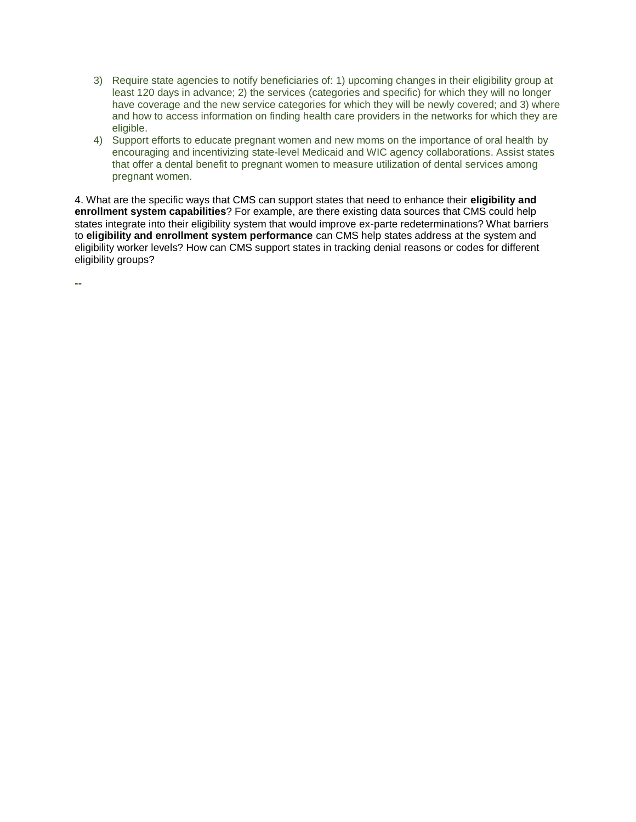- 3) Require state agencies to notify beneficiaries of: 1) upcoming changes in their eligibility group at least 120 days in advance; 2) the services (categories and specific) for which they will no longer have coverage and the new service categories for which they will be newly covered; and 3) where and how to access information on finding health care providers in the networks for which they are eligible.
- 4) Support efforts to educate pregnant women and new moms on the importance of oral health by encouraging and incentivizing state-level Medicaid and WIC agency collaborations. Assist states that offer a dental benefit to pregnant women to measure utilization of dental services among pregnant women.

4. What are the specific ways that CMS can support states that need to enhance their **eligibility and enrollment system capabilities**? For example, are there existing data sources that CMS could help states integrate into their eligibility system that would improve ex-parte redeterminations? What barriers to **eligibility and enrollment system performance** can CMS help states address at the system and eligibility worker levels? How can CMS support states in tracking denial reasons or codes for different eligibility groups?

**--**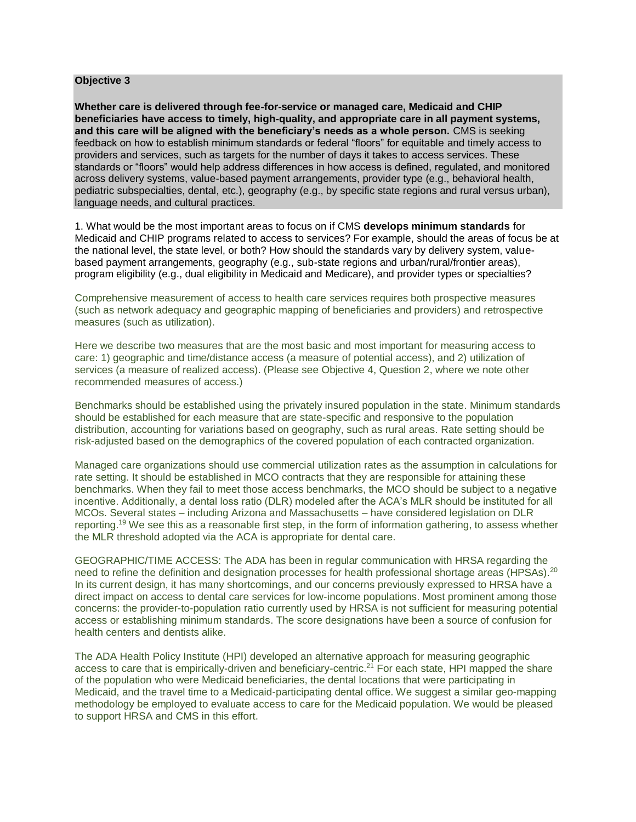#### **Objective 3**

**Whether care is delivered through fee-for-service or managed care, Medicaid and CHIP beneficiaries have access to timely, high-quality, and appropriate care in all payment systems, and this care will be aligned with the beneficiary's needs as a whole person.** CMS is seeking feedback on how to establish minimum standards or federal "floors" for equitable and timely access to providers and services, such as targets for the number of days it takes to access services. These standards or "floors" would help address differences in how access is defined, regulated, and monitored across delivery systems, value-based payment arrangements, provider type (e.g., behavioral health, pediatric subspecialties, dental, etc.), geography (e.g., by specific state regions and rural versus urban), language needs, and cultural practices.

1. What would be the most important areas to focus on if CMS **develops minimum standards** for Medicaid and CHIP programs related to access to services? For example, should the areas of focus be at the national level, the state level, or both? How should the standards vary by delivery system, valuebased payment arrangements, geography (e.g., sub-state regions and urban/rural/frontier areas), program eligibility (e.g., dual eligibility in Medicaid and Medicare), and provider types or specialties?

Comprehensive measurement of access to health care services requires both prospective measures (such as network adequacy and geographic mapping of beneficiaries and providers) and retrospective measures (such as utilization).

Here we describe two measures that are the most basic and most important for measuring access to care: 1) geographic and time/distance access (a measure of potential access), and 2) utilization of services (a measure of realized access). (Please see Objective 4, Question 2, where we note other recommended measures of access.)

Benchmarks should be established using the privately insured population in the state. Minimum standards should be established for each measure that are state-specific and responsive to the population distribution, accounting for variations based on geography, such as rural areas. Rate setting should be risk-adjusted based on the demographics of the covered population of each contracted organization.

Managed care organizations should use commercial utilization rates as the assumption in calculations for rate setting. It should be established in MCO contracts that they are responsible for attaining these benchmarks. When they fail to meet those access benchmarks, the MCO should be subject to a negative incentive. Additionally, a dental loss ratio (DLR) modeled after the ACA's MLR should be instituted for all MCOs. Several states – including Arizona and Massachusetts – have considered legislation on DLR reporting.<sup>19</sup> We see this as a reasonable first step, in the form of information gathering, to assess whether the MLR threshold adopted via the ACA is appropriate for dental care.

GEOGRAPHIC/TIME ACCESS: The ADA has been in regular communication with HRSA regarding the need to refine the definition and designation processes for health professional shortage areas (HPSAs).<sup>20</sup> In its current design, it has many shortcomings, and our concerns previously expressed to HRSA have a direct impact on access to dental care services for low-income populations. Most prominent among those concerns: the provider-to-population ratio currently used by HRSA is not sufficient for measuring potential access or establishing minimum standards. The score designations have been a source of confusion for health centers and dentists alike.

The ADA Health Policy Institute (HPI) developed an alternative approach for measuring geographic access to care that is empirically-driven and beneficiary-centric.<sup>21</sup> For each state, HPI mapped the share of the population who were Medicaid beneficiaries, the dental locations that were participating in Medicaid, and the travel time to a Medicaid-participating dental office. We suggest a similar geo-mapping methodology be employed to evaluate access to care for the Medicaid population. We would be pleased to support HRSA and CMS in this effort.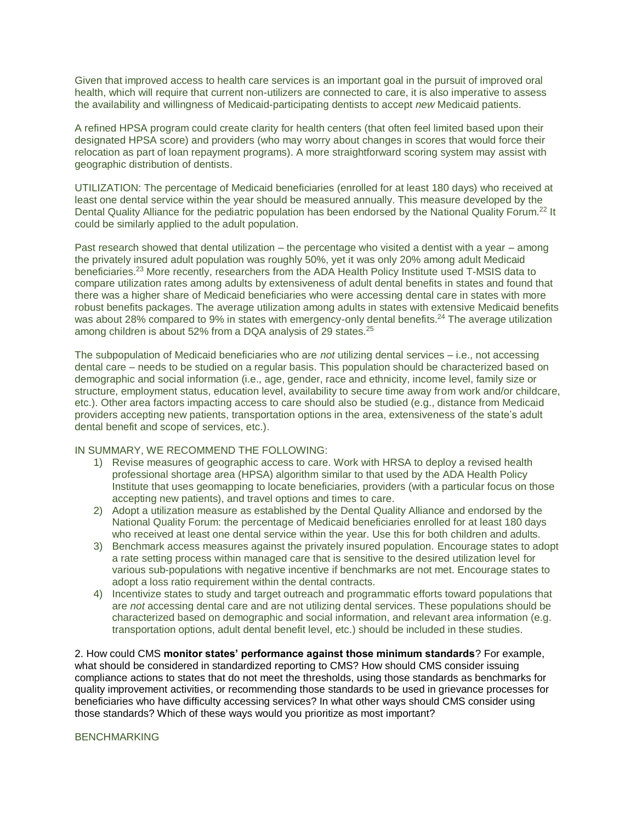Given that improved access to health care services is an important goal in the pursuit of improved oral health, which will require that current non-utilizers are connected to care, it is also imperative to assess the availability and willingness of Medicaid-participating dentists to accept *new* Medicaid patients.

A refined HPSA program could create clarity for health centers (that often feel limited based upon their designated HPSA score) and providers (who may worry about changes in scores that would force their relocation as part of loan repayment programs). A more straightforward scoring system may assist with geographic distribution of dentists.

UTILIZATION: The percentage of Medicaid beneficiaries (enrolled for at least 180 days) who received at least one dental service within the year should be measured annually. This measure developed by the Dental Quality Alliance for the pediatric population has been endorsed by the National Quality Forum.<sup>22</sup> It could be similarly applied to the adult population.

Past research showed that dental utilization – the percentage who visited a dentist with a year – among the privately insured adult population was roughly 50%, yet it was only 20% among adult Medicaid beneficiaries.<sup>23</sup> More recently, researchers from the ADA Health Policy Institute used T-MSIS data to compare utilization rates among adults by extensiveness of adult dental benefits in states and found that there was a higher share of Medicaid beneficiaries who were accessing dental care in states with more robust benefits packages. The average utilization among adults in states with extensive Medicaid benefits was about 28% compared to 9% in states with emergency-only dental benefits.<sup>24</sup> The average utilization among children is about 52% from a DQA analysis of 29 states.<sup>25</sup>

The subpopulation of Medicaid beneficiaries who are *not* utilizing dental services – i.e., not accessing dental care – needs to be studied on a regular basis. This population should be characterized based on demographic and social information (i.e., age, gender, race and ethnicity, income level, family size or structure, employment status, education level, availability to secure time away from work and/or childcare, etc.). Other area factors impacting access to care should also be studied (e.g., distance from Medicaid providers accepting new patients, transportation options in the area, extensiveness of the state's adult dental benefit and scope of services, etc.).

#### IN SUMMARY, WE RECOMMEND THE FOLLOWING:

- 1) Revise measures of geographic access to care. Work with HRSA to deploy a revised health professional shortage area (HPSA) algorithm similar to that used by the ADA Health Policy Institute that uses geomapping to locate beneficiaries, providers (with a particular focus on those accepting new patients), and travel options and times to care.
- 2) Adopt a utilization measure as established by the Dental Quality Alliance and endorsed by the National Quality Forum: the percentage of Medicaid beneficiaries enrolled for at least 180 days who received at least one dental service within the year. Use this for both children and adults.
- 3) Benchmark access measures against the privately insured population. Encourage states to adopt a rate setting process within managed care that is sensitive to the desired utilization level for various sub-populations with negative incentive if benchmarks are not met. Encourage states to adopt a loss ratio requirement within the dental contracts.
- 4) Incentivize states to study and target outreach and programmatic efforts toward populations that are *not* accessing dental care and are not utilizing dental services. These populations should be characterized based on demographic and social information, and relevant area information (e.g. transportation options, adult dental benefit level, etc.) should be included in these studies.

2. How could CMS **monitor states' performance against those minimum standards**? For example, what should be considered in standardized reporting to CMS? How should CMS consider issuing compliance actions to states that do not meet the thresholds, using those standards as benchmarks for quality improvement activities, or recommending those standards to be used in grievance processes for beneficiaries who have difficulty accessing services? In what other ways should CMS consider using those standards? Which of these ways would you prioritize as most important?

#### BENCHMARKING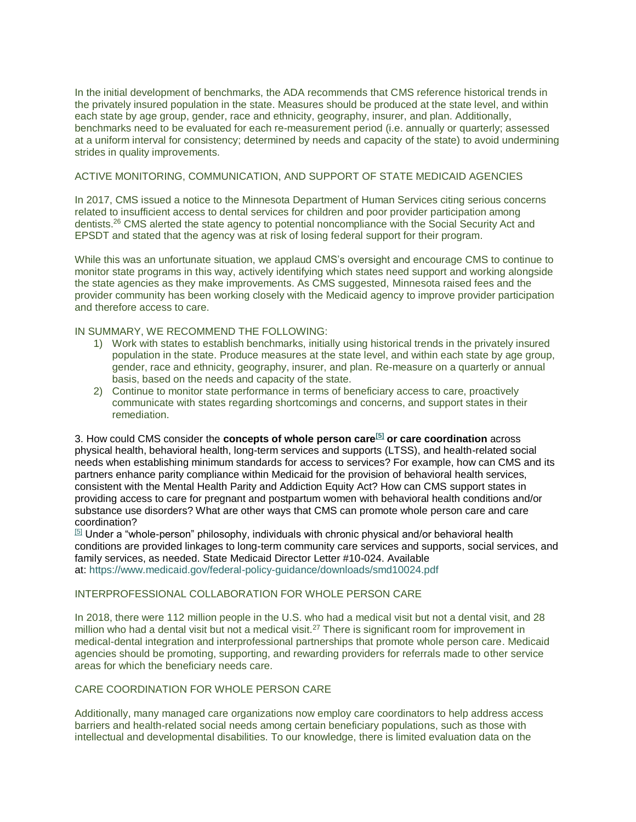In the initial development of benchmarks, the ADA recommends that CMS reference historical trends in the privately insured population in the state. Measures should be produced at the state level, and within each state by age group, gender, race and ethnicity, geography, insurer, and plan. Additionally, benchmarks need to be evaluated for each re-measurement period (i.e. annually or quarterly; assessed at a uniform interval for consistency; determined by needs and capacity of the state) to avoid undermining strides in quality improvements.

### ACTIVE MONITORING, COMMUNICATION, AND SUPPORT OF STATE MEDICAID AGENCIES

In 2017, CMS issued a notice to the Minnesota Department of Human Services citing serious concerns related to insufficient access to dental services for children and poor provider participation among dentists.<sup>26</sup> CMS alerted the state agency to potential noncompliance with the Social Security Act and EPSDT and stated that the agency was at risk of losing federal support for their program.

While this was an unfortunate situation, we applaud CMS's oversight and encourage CMS to continue to monitor state programs in this way, actively identifying which states need support and working alongside the state agencies as they make improvements. As CMS suggested, Minnesota raised fees and the provider community has been working closely with the Medicaid agency to improve provider participation and therefore access to care.

#### IN SUMMARY, WE RECOMMEND THE FOLLOWING:

- 1) Work with states to establish benchmarks, initially using historical trends in the privately insured population in the state. Produce measures at the state level, and within each state by age group, gender, race and ethnicity, geography, insurer, and plan. Re-measure on a quarterly or annual basis, based on the needs and capacity of the state.
- 2) Continue to monitor state performance in terms of beneficiary access to care, proactively communicate with states regarding shortcomings and concerns, and support states in their remediation.

3. How could CMS consider the **concepts of whole person care[\[5\]](https://cmsmedicaidaccessrfi.gov1.qualtrics.com/jfe/form/SV_6EYj9eLS9b74Npk#_ftn1) or care coordination** across physical health, behavioral health, long-term services and supports (LTSS), and health-related social needs when establishing minimum standards for access to services? For example, how can CMS and its partners enhance parity compliance within Medicaid for the provision of behavioral health services, consistent with the Mental Health Parity and Addiction Equity Act? How can CMS support states in providing access to care for pregnant and postpartum women with behavioral health conditions and/or substance use disorders? What are other ways that CMS can promote whole person care and care coordination?

 $[5]$  Under a "whole-person" philosophy, individuals with chronic physical and/or behavioral health conditions are provided linkages to long-term community care services and supports, social services, and family services, as needed. State Medicaid Director Letter #10-024. Available at: <https://www.medicaid.gov/federal-policy-guidance/downloads/smd10024.pdf>

### INTERPROFESSIONAL COLLABORATION FOR WHOLE PERSON CARE

In 2018, there were 112 million people in the U.S. who had a medical visit but not a dental visit, and 28 million who had a dental visit but not a medical visit.<sup>27</sup> There is significant room for improvement in medical-dental integration and interprofessional partnerships that promote whole person care. Medicaid agencies should be promoting, supporting, and rewarding providers for referrals made to other service areas for which the beneficiary needs care.

#### CARE COORDINATION FOR WHOLE PERSON CARE

Additionally, many managed care organizations now employ care coordinators to help address access barriers and health-related social needs among certain beneficiary populations, such as those with intellectual and developmental disabilities. To our knowledge, there is limited evaluation data on the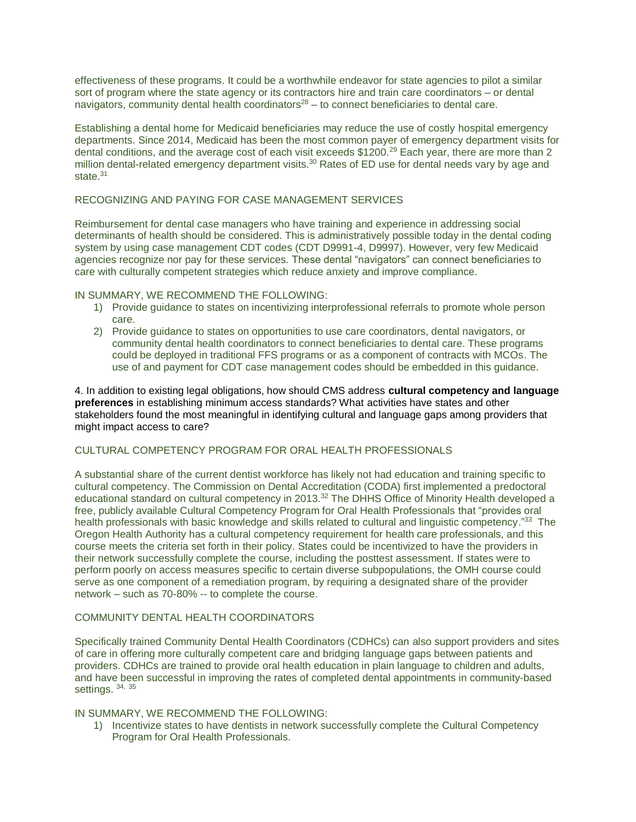effectiveness of these programs. It could be a worthwhile endeavor for state agencies to pilot a similar sort of program where the state agency or its contractors hire and train care coordinators – or dental navigators, community dental health coordinators<sup>28</sup> – to connect beneficiaries to dental care.

Establishing a dental home for Medicaid beneficiaries may reduce the use of costly hospital emergency departments. Since 2014, Medicaid has been the most common payer of emergency department visits for dental conditions, and the average cost of each visit exceeds \$1200.<sup>29</sup> Each year, there are more than 2 million dental-related emergency department visits.<sup>30</sup> Rates of ED use for dental needs vary by age and state.<sup>31</sup>

# RECOGNIZING AND PAYING FOR CASE MANAGEMENT SERVICES

Reimbursement for dental case managers who have training and experience in addressing social determinants of health should be considered. This is administratively possible today in the dental coding system by using case management CDT codes (CDT D9991-4, D9997). However, very few Medicaid agencies recognize nor pay for these services. These dental "navigators" can connect beneficiaries to care with culturally competent strategies which reduce anxiety and improve compliance.

### IN SUMMARY, WE RECOMMEND THE FOLLOWING:

- 1) Provide guidance to states on incentivizing interprofessional referrals to promote whole person care.
- 2) Provide guidance to states on opportunities to use care coordinators, dental navigators, or community dental health coordinators to connect beneficiaries to dental care. These programs could be deployed in traditional FFS programs or as a component of contracts with MCOs. The use of and payment for CDT case management codes should be embedded in this guidance.

4. In addition to existing legal obligations, how should CMS address **cultural competency and language preferences** in establishing minimum access standards? What activities have states and other stakeholders found the most meaningful in identifying cultural and language gaps among providers that might impact access to care?

# CULTURAL COMPETENCY PROGRAM FOR ORAL HEALTH PROFESSIONALS

A substantial share of the current dentist workforce has likely not had education and training specific to cultural competency. The Commission on Dental Accreditation (CODA) first implemented a predoctoral educational standard on cultural competency in 2013.<sup>32</sup> The DHHS Office of Minority Health developed a free, publicly available Cultural Competency Program for Oral Health Professionals that "provides oral health professionals with basic knowledge and skills related to cultural and linguistic competency."<sup>33</sup> The Oregon Health Authority has a cultural competency requirement for health care professionals, and this course meets the criteria set forth in their policy. States could be incentivized to have the providers in their network successfully complete the course, including the posttest assessment. If states were to perform poorly on access measures specific to certain diverse subpopulations, the OMH course could serve as one component of a remediation program, by requiring a designated share of the provider network – such as 70-80% -- to complete the course.

# COMMUNITY DENTAL HEALTH COORDINATORS

Specifically trained Community Dental Health Coordinators (CDHCs) can also support providers and sites of care in offering more culturally competent care and bridging language gaps between patients and providers. CDHCs are trained to provide oral health education in plain language to children and adults, and have been successful in improving the rates of completed dental appointments in community-based settings. 34, 35

### IN SUMMARY, WE RECOMMEND THE FOLLOWING:

1) Incentivize states to have dentists in network successfully complete the Cultural Competency Program for Oral Health Professionals.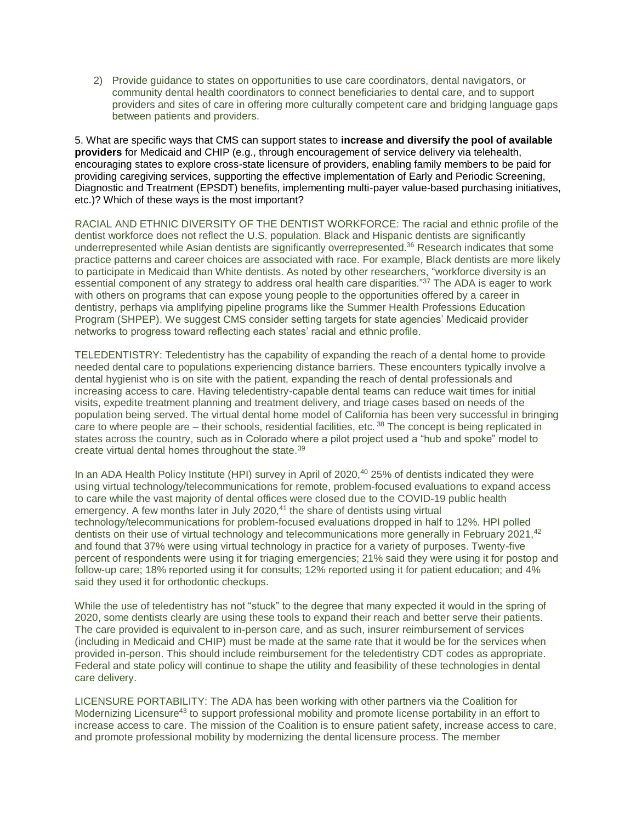2) Provide guidance to states on opportunities to use care coordinators, dental navigators, or community dental health coordinators to connect beneficiaries to dental care, and to support providers and sites of care in offering more culturally competent care and bridging language gaps between patients and providers.

5. What are specific ways that CMS can support states to **increase and diversify the pool of available providers** for Medicaid and CHIP (e.g., through encouragement of service delivery via telehealth, encouraging states to explore cross-state licensure of providers, enabling family members to be paid for providing caregiving services, supporting the effective implementation of Early and Periodic Screening, Diagnostic and Treatment (EPSDT) benefits, implementing multi-payer value-based purchasing initiatives, etc.)? Which of these ways is the most important?

RACIAL AND ETHNIC DIVERSITY OF THE DENTIST WORKFORCE: The racial and ethnic profile of the dentist workforce does not reflect the U.S. population. Black and Hispanic dentists are significantly underrepresented while Asian dentists are significantly overrepresented.<sup>36</sup> Research indicates that some practice patterns and career choices are associated with race. For example, Black dentists are more likely to participate in Medicaid than White dentists. As noted by other researchers, "workforce diversity is an essential component of any strategy to address oral health care disparities."<sup>37</sup> The ADA is eager to work with others on programs that can expose young people to the opportunities offered by a career in dentistry, perhaps via amplifying pipeline programs like the Summer Health Professions Education Program (SHPEP). We suggest CMS consider setting targets for state agencies' Medicaid provider networks to progress toward reflecting each states' racial and ethnic profile.

TELEDENTISTRY: Teledentistry has the capability of expanding the reach of a dental home to provide needed dental care to populations experiencing distance barriers. These encounters typically involve a dental hygienist who is on site with the patient, expanding the reach of dental professionals and increasing access to care. Having teledentistry-capable dental teams can reduce wait times for initial visits, expedite treatment planning and treatment delivery, and triage cases based on needs of the population being served. The virtual dental home model of California has been very successful in bringing care to where people are – their schools, residential facilities, etc.<sup>38</sup> The concept is being replicated in states across the country, such as in Colorado where a pilot project used a "hub and spoke" model to create virtual dental homes throughout the state.<sup>39</sup>

In an ADA Health Policy Institute (HPI) survey in April of 2020,<sup>40</sup> 25% of dentists indicated they were using virtual technology/telecommunications for remote, problem-focused evaluations to expand access to care while the vast majority of dental offices were closed due to the COVID-19 public health emergency. A few months later in July 2020, $41$  the share of dentists using virtual technology/telecommunications for problem-focused evaluations dropped in half to 12%. HPI polled dentists on their use of virtual technology and telecommunications more generally in February 2021,<sup>42</sup> and found that 37% were using virtual technology in practice for a variety of purposes. Twenty-five percent of respondents were using it for triaging emergencies; 21% said they were using it for postop and follow-up care; 18% reported using it for consults; 12% reported using it for patient education; and 4% said they used it for orthodontic checkups.

While the use of teledentistry has not "stuck" to the degree that many expected it would in the spring of 2020, some dentists clearly are using these tools to expand their reach and better serve their patients. The care provided is equivalent to in-person care, and as such, insurer reimbursement of services (including in Medicaid and CHIP) must be made at the same rate that it would be for the services when provided in-person. This should include reimbursement for the teledentistry CDT codes as appropriate. Federal and state policy will continue to shape the utility and feasibility of these technologies in dental care delivery.

LICENSURE PORTABILITY: The ADA has been working with other partners via the Coalition for Modernizing Licensure<sup>43</sup> to support professional mobility and promote license portability in an effort to increase access to care. The mission of the Coalition is to ensure patient safety, increase access to care, and promote professional mobility by modernizing the dental licensure process. The member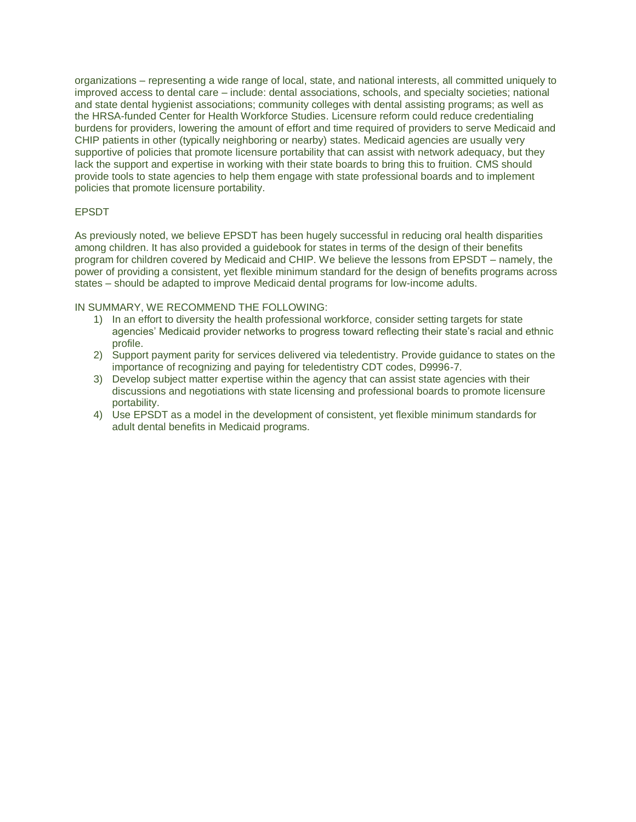organizations – representing a wide range of local, state, and national interests, all committed uniquely to improved access to dental care – include: dental associations, schools, and specialty societies; national and state dental hygienist associations; community colleges with dental assisting programs; as well as the HRSA-funded Center for Health Workforce Studies. Licensure reform could reduce credentialing burdens for providers, lowering the amount of effort and time required of providers to serve Medicaid and CHIP patients in other (typically neighboring or nearby) states. Medicaid agencies are usually very supportive of policies that promote licensure portability that can assist with network adequacy, but they lack the support and expertise in working with their state boards to bring this to fruition. CMS should provide tools to state agencies to help them engage with state professional boards and to implement policies that promote licensure portability.

# EPSDT

As previously noted, we believe EPSDT has been hugely successful in reducing oral health disparities among children. It has also provided a guidebook for states in terms of the design of their benefits program for children covered by Medicaid and CHIP. We believe the lessons from EPSDT – namely, the power of providing a consistent, yet flexible minimum standard for the design of benefits programs across states – should be adapted to improve Medicaid dental programs for low-income adults.

IN SUMMARY, WE RECOMMEND THE FOLLOWING:

- 1) In an effort to diversity the health professional workforce, consider setting targets for state agencies' Medicaid provider networks to progress toward reflecting their state's racial and ethnic profile.
- 2) Support payment parity for services delivered via teledentistry. Provide guidance to states on the importance of recognizing and paying for teledentistry CDT codes, D9996-7.
- 3) Develop subject matter expertise within the agency that can assist state agencies with their discussions and negotiations with state licensing and professional boards to promote licensure portability.
- 4) Use EPSDT as a model in the development of consistent, yet flexible minimum standards for adult dental benefits in Medicaid programs.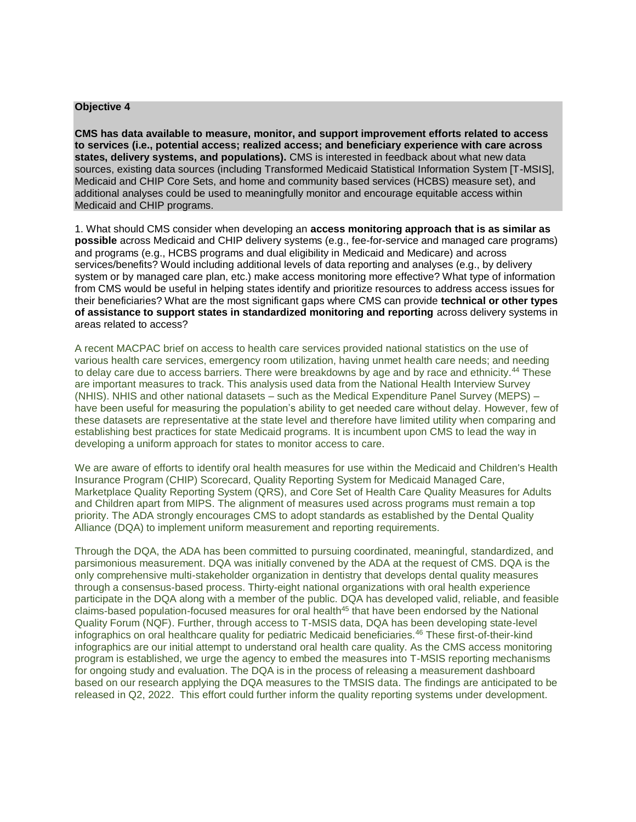#### **Objective 4**

**CMS has data available to measure, monitor, and support improvement efforts related to access to services (i.e., potential access; realized access; and beneficiary experience with care across states, delivery systems, and populations).** CMS is interested in feedback about what new data sources, existing data sources (including Transformed Medicaid Statistical Information System [T-MSIS], Medicaid and CHIP Core Sets, and home and community based services (HCBS) measure set), and additional analyses could be used to meaningfully monitor and encourage equitable access within Medicaid and CHIP programs.

1. What should CMS consider when developing an **access monitoring approach that is as similar as possible** across Medicaid and CHIP delivery systems (e.g., fee-for-service and managed care programs) and programs (e.g., HCBS programs and dual eligibility in Medicaid and Medicare) and across services/benefits? Would including additional levels of data reporting and analyses (e.g., by delivery system or by managed care plan, etc.) make access monitoring more effective? What type of information from CMS would be useful in helping states identify and prioritize resources to address access issues for their beneficiaries? What are the most significant gaps where CMS can provide **technical or other types of assistance to support states in standardized monitoring and reporting** across delivery systems in areas related to access?

A recent MACPAC brief on access to health care services provided national statistics on the use of various health care services, emergency room utilization, having unmet health care needs; and needing to delay care due to access barriers. There were breakdowns by age and by race and ethnicity.<sup>44</sup> These are important measures to track. This analysis used data from the National Health Interview Survey (NHIS). NHIS and other national datasets – such as the Medical Expenditure Panel Survey (MEPS) – have been useful for measuring the population's ability to get needed care without delay. However, few of these datasets are representative at the state level and therefore have limited utility when comparing and establishing best practices for state Medicaid programs. It is incumbent upon CMS to lead the way in developing a uniform approach for states to monitor access to care.

We are aware of efforts to identify oral health measures for use within the Medicaid and Children's Health Insurance Program (CHIP) Scorecard, Quality Reporting System for Medicaid Managed Care, Marketplace Quality Reporting System (QRS), and Core Set of Health Care Quality Measures for Adults and Children apart from MIPS. The alignment of measures used across programs must remain a top priority. The ADA strongly encourages CMS to adopt standards as established by the Dental Quality Alliance (DQA) to implement uniform measurement and reporting requirements.

Through the DQA, the ADA has been committed to pursuing coordinated, meaningful, standardized, and parsimonious measurement. DQA was initially convened by the ADA at the request of CMS. DQA is the only comprehensive multi-stakeholder organization in dentistry that develops dental quality measures through a consensus-based process. Thirty-eight national organizations with oral health experience participate in the DQA along with a member of the public. DQA has developed valid, reliable, and feasible claims-based population-focused measures for oral health<sup>45</sup> that have been endorsed by the National Quality Forum (NQF). Further, through access to T-MSIS data, DQA has been developing state-level infographics on oral healthcare quality for pediatric Medicaid beneficiaries.<sup>46</sup> These first-of-their-kind infographics are our initial attempt to understand oral health care quality. As the CMS access monitoring program is established, we urge the agency to embed the measures into T-MSIS reporting mechanisms for ongoing study and evaluation. The DQA is in the process of releasing a measurement dashboard based on our research applying the DQA measures to the TMSIS data. The findings are anticipated to be released in Q2, 2022. This effort could further inform the quality reporting systems under development.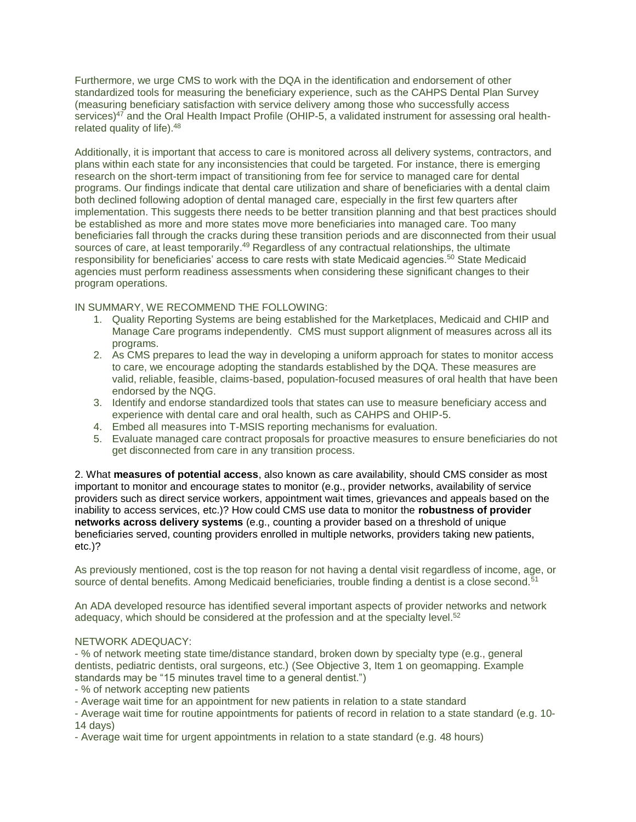Furthermore, we urge CMS to work with the DQA in the identification and endorsement of other standardized tools for measuring the beneficiary experience, such as the CAHPS Dental Plan Survey (measuring beneficiary satisfaction with service delivery among those who successfully access services)<sup>47</sup> and the Oral Health Impact Profile (OHIP-5, a validated instrument for assessing oral healthrelated quality of life).<sup>48</sup>

Additionally, it is important that access to care is monitored across all delivery systems, contractors, and plans within each state for any inconsistencies that could be targeted. For instance, there is emerging research on the short-term impact of transitioning from fee for service to managed care for dental programs. Our findings indicate that dental care utilization and share of beneficiaries with a dental claim both declined following adoption of dental managed care, especially in the first few quarters after implementation. This suggests there needs to be better transition planning and that best practices should be established as more and more states move more beneficiaries into managed care. Too many beneficiaries fall through the cracks during these transition periods and are disconnected from their usual sources of care, at least temporarily.<sup>49</sup> Regardless of any contractual relationships, the ultimate responsibility for beneficiaries' access to care rests with state Medicaid agencies.<sup>50</sup> State Medicaid agencies must perform readiness assessments when considering these significant changes to their program operations.

IN SUMMARY, WE RECOMMEND THE FOLLOWING:

- 1. Quality Reporting Systems are being established for the Marketplaces, Medicaid and CHIP and Manage Care programs independently. CMS must support alignment of measures across all its programs.
- 2. As CMS prepares to lead the way in developing a uniform approach for states to monitor access to care, we encourage adopting the standards established by the DQA. These measures are valid, reliable, feasible, claims-based, population-focused measures of oral health that have been endorsed by the NQG.
- 3. Identify and endorse standardized tools that states can use to measure beneficiary access and experience with dental care and oral health, such as CAHPS and OHIP-5.
- 4. Embed all measures into T-MSIS reporting mechanisms for evaluation.
- 5. Evaluate managed care contract proposals for proactive measures to ensure beneficiaries do not get disconnected from care in any transition process.

2. What **measures of potential access**, also known as care availability, should CMS consider as most important to monitor and encourage states to monitor (e.g., provider networks, availability of service providers such as direct service workers, appointment wait times, grievances and appeals based on the inability to access services, etc.)? How could CMS use data to monitor the **robustness of provider networks across delivery systems** (e.g., counting a provider based on a threshold of unique beneficiaries served, counting providers enrolled in multiple networks, providers taking new patients, etc.)?

As previously mentioned, cost is the top reason for not having a dental visit regardless of income, age, or source of dental benefits. Among Medicaid beneficiaries, trouble finding a dentist is a close second.<sup>51</sup>

An ADA developed resource has identified several important aspects of provider networks and network adequacy, which should be considered at the profession and at the specialty level.<sup>52</sup>

### NETWORK ADEQUACY:

- % of network meeting state time/distance standard, broken down by specialty type (e.g., general dentists, pediatric dentists, oral surgeons, etc.) (See Objective 3, Item 1 on geomapping. Example standards may be "15 minutes travel time to a general dentist.")

- % of network accepting new patients

- Average wait time for an appointment for new patients in relation to a state standard
- Average wait time for routine appointments for patients of record in relation to a state standard (e.g. 10- 14 days)
- Average wait time for urgent appointments in relation to a state standard (e.g. 48 hours)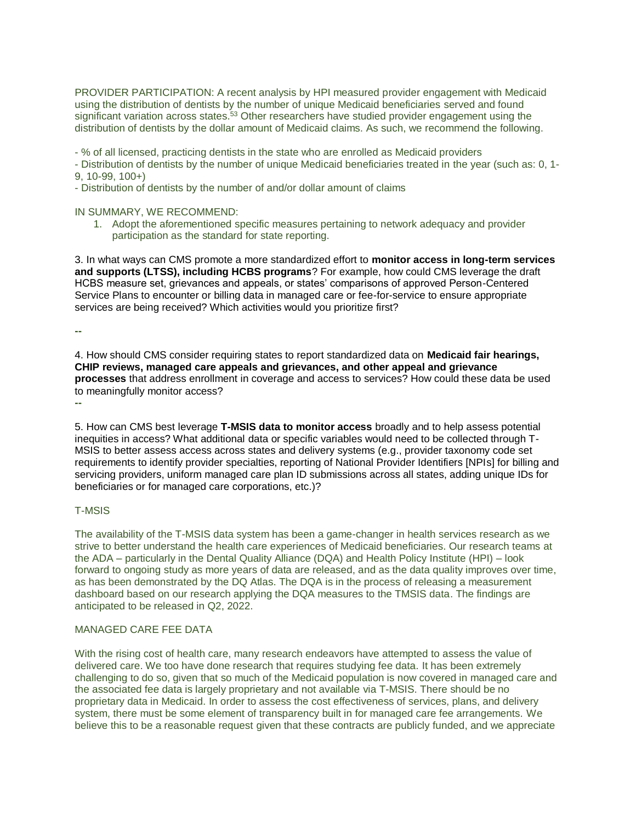PROVIDER PARTICIPATION: A recent analysis by HPI measured provider engagement with Medicaid using the distribution of dentists by the number of unique Medicaid beneficiaries served and found significant variation across states.<sup>53</sup> Other researchers have studied provider engagement using the distribution of dentists by the dollar amount of Medicaid claims. As such, we recommend the following.

- % of all licensed, practicing dentists in the state who are enrolled as Medicaid providers

- Distribution of dentists by the number of unique Medicaid beneficiaries treated in the year (such as: 0, 1- 9, 10-99, 100+)

- Distribution of dentists by the number of and/or dollar amount of claims

IN SUMMARY, WE RECOMMEND:

1. Adopt the aforementioned specific measures pertaining to network adequacy and provider participation as the standard for state reporting.

3. In what ways can CMS promote a more standardized effort to **monitor access in long-term services and supports (LTSS), including HCBS programs**? For example, how could CMS leverage the draft HCBS measure set, grievances and appeals, or states' comparisons of approved Person-Centered Service Plans to encounter or billing data in managed care or fee-for-service to ensure appropriate services are being received? Which activities would you prioritize first?

**--**

4. How should CMS consider requiring states to report standardized data on **Medicaid fair hearings, CHIP reviews, managed care appeals and grievances, and other appeal and grievance processes** that address enrollment in coverage and access to services? How could these data be used to meaningfully monitor access?

**--**

5. How can CMS best leverage **T-MSIS data to monitor access** broadly and to help assess potential inequities in access? What additional data or specific variables would need to be collected through T-MSIS to better assess access across states and delivery systems (e.g., provider taxonomy code set requirements to identify provider specialties, reporting of National Provider Identifiers [NPIs] for billing and servicing providers, uniform managed care plan ID submissions across all states, adding unique IDs for beneficiaries or for managed care corporations, etc.)?

### T-MSIS

The availability of the T-MSIS data system has been a game-changer in health services research as we strive to better understand the health care experiences of Medicaid beneficiaries. Our research teams at the ADA – particularly in the Dental Quality Alliance (DQA) and Health Policy Institute (HPI) – look forward to ongoing study as more years of data are released, and as the data quality improves over time, as has been demonstrated by the DQ Atlas. The DQA is in the process of releasing a measurement dashboard based on our research applying the DQA measures to the TMSIS data. The findings are anticipated to be released in Q2, 2022.

### MANAGED CARE FEE DATA

With the rising cost of health care, many research endeavors have attempted to assess the value of delivered care. We too have done research that requires studying fee data. It has been extremely challenging to do so, given that so much of the Medicaid population is now covered in managed care and the associated fee data is largely proprietary and not available via T-MSIS. There should be no proprietary data in Medicaid. In order to assess the cost effectiveness of services, plans, and delivery system, there must be some element of transparency built in for managed care fee arrangements. We believe this to be a reasonable request given that these contracts are publicly funded, and we appreciate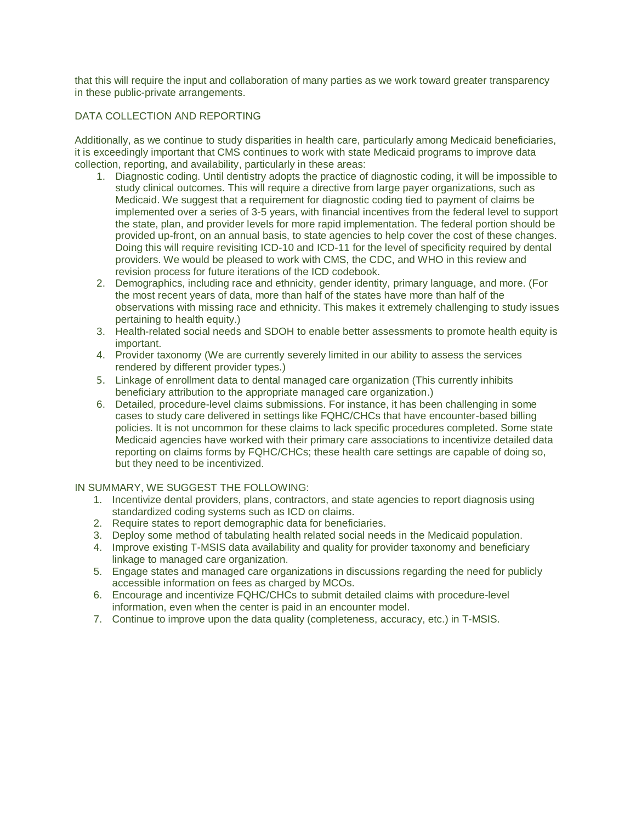that this will require the input and collaboration of many parties as we work toward greater transparency in these public-private arrangements.

# DATA COLLECTION AND REPORTING

Additionally, as we continue to study disparities in health care, particularly among Medicaid beneficiaries, it is exceedingly important that CMS continues to work with state Medicaid programs to improve data collection, reporting, and availability, particularly in these areas:

- 1. Diagnostic coding. Until dentistry adopts the practice of diagnostic coding, it will be impossible to study clinical outcomes. This will require a directive from large payer organizations, such as Medicaid. We suggest that a requirement for diagnostic coding tied to payment of claims be implemented over a series of 3-5 years, with financial incentives from the federal level to support the state, plan, and provider levels for more rapid implementation. The federal portion should be provided up-front, on an annual basis, to state agencies to help cover the cost of these changes. Doing this will require revisiting ICD-10 and ICD-11 for the level of specificity required by dental providers. We would be pleased to work with CMS, the CDC, and WHO in this review and revision process for future iterations of the ICD codebook.
- 2. Demographics, including race and ethnicity, gender identity, primary language, and more. (For the most recent years of data, more than half of the states have more than half of the observations with missing race and ethnicity. This makes it extremely challenging to study issues pertaining to health equity.)
- 3. Health-related social needs and SDOH to enable better assessments to promote health equity is important.
- 4. Provider taxonomy (We are currently severely limited in our ability to assess the services rendered by different provider types.)
- 5. Linkage of enrollment data to dental managed care organization (This currently inhibits beneficiary attribution to the appropriate managed care organization.)
- 6. Detailed, procedure-level claims submissions. For instance, it has been challenging in some cases to study care delivered in settings like FQHC/CHCs that have encounter-based billing policies. It is not uncommon for these claims to lack specific procedures completed. Some state Medicaid agencies have worked with their primary care associations to incentivize detailed data reporting on claims forms by FQHC/CHCs; these health care settings are capable of doing so, but they need to be incentivized.

### IN SUMMARY, WE SUGGEST THE FOLLOWING:

- 1. Incentivize dental providers, plans, contractors, and state agencies to report diagnosis using standardized coding systems such as ICD on claims.
- 2. Require states to report demographic data for beneficiaries.
- 3. Deploy some method of tabulating health related social needs in the Medicaid population.
- 4. Improve existing T-MSIS data availability and quality for provider taxonomy and beneficiary linkage to managed care organization.
- 5. Engage states and managed care organizations in discussions regarding the need for publicly accessible information on fees as charged by MCOs.
- 6. Encourage and incentivize FQHC/CHCs to submit detailed claims with procedure-level information, even when the center is paid in an encounter model.
- 7. Continue to improve upon the data quality (completeness, accuracy, etc.) in T-MSIS.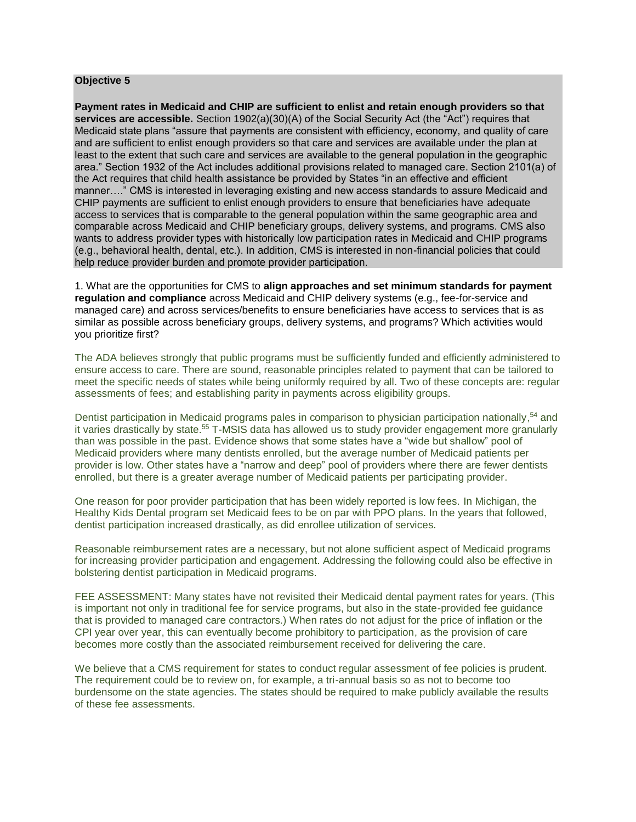#### **Objective 5**

**Payment rates in Medicaid and CHIP are sufficient to enlist and retain enough providers so that services are accessible.** Section 1902(a)(30)(A) of the Social Security Act (the "Act") requires that Medicaid state plans "assure that payments are consistent with efficiency, economy, and quality of care and are sufficient to enlist enough providers so that care and services are available under the plan at least to the extent that such care and services are available to the general population in the geographic area." Section 1932 of the Act includes additional provisions related to managed care. Section 2101(a) of the Act requires that child health assistance be provided by States "in an effective and efficient manner…." CMS is interested in leveraging existing and new access standards to assure Medicaid and CHIP payments are sufficient to enlist enough providers to ensure that beneficiaries have adequate access to services that is comparable to the general population within the same geographic area and comparable across Medicaid and CHIP beneficiary groups, delivery systems, and programs. CMS also wants to address provider types with historically low participation rates in Medicaid and CHIP programs (e.g., behavioral health, dental, etc.). In addition, CMS is interested in non-financial policies that could help reduce provider burden and promote provider participation.

1. What are the opportunities for CMS to **align approaches and set minimum standards for payment regulation and compliance** across Medicaid and CHIP delivery systems (e.g., fee-for-service and managed care) and across services/benefits to ensure beneficiaries have access to services that is as similar as possible across beneficiary groups, delivery systems, and programs? Which activities would you prioritize first?

The ADA believes strongly that public programs must be sufficiently funded and efficiently administered to ensure access to care. There are sound, reasonable principles related to payment that can be tailored to meet the specific needs of states while being uniformly required by all. Two of these concepts are: regular assessments of fees; and establishing parity in payments across eligibility groups.

Dentist participation in Medicaid programs pales in comparison to physician participation nationally,<sup>54</sup> and it varies drastically by state.<sup>55</sup> T-MSIS data has allowed us to study provider engagement more granularly than was possible in the past. Evidence shows that some states have a "wide but shallow" pool of Medicaid providers where many dentists enrolled, but the average number of Medicaid patients per provider is low. Other states have a "narrow and deep" pool of providers where there are fewer dentists enrolled, but there is a greater average number of Medicaid patients per participating provider.

One reason for poor provider participation that has been widely reported is low fees. In Michigan, the Healthy Kids Dental program set Medicaid fees to be on par with PPO plans. In the years that followed, dentist participation increased drastically, as did enrollee utilization of services.

Reasonable reimbursement rates are a necessary, but not alone sufficient aspect of Medicaid programs for increasing provider participation and engagement. Addressing the following could also be effective in bolstering dentist participation in Medicaid programs.

FEE ASSESSMENT: Many states have not revisited their Medicaid dental payment rates for years. (This is important not only in traditional fee for service programs, but also in the state-provided fee guidance that is provided to managed care contractors.) When rates do not adjust for the price of inflation or the CPI year over year, this can eventually become prohibitory to participation, as the provision of care becomes more costly than the associated reimbursement received for delivering the care.

We believe that a CMS requirement for states to conduct regular assessment of fee policies is prudent. The requirement could be to review on, for example, a tri-annual basis so as not to become too burdensome on the state agencies. The states should be required to make publicly available the results of these fee assessments.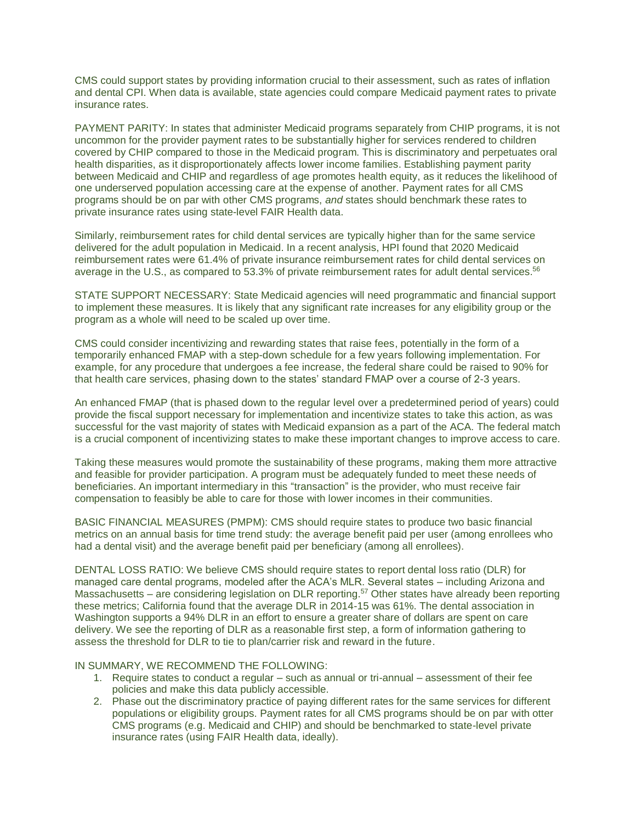CMS could support states by providing information crucial to their assessment, such as rates of inflation and dental CPI. When data is available, state agencies could compare Medicaid payment rates to private insurance rates.

PAYMENT PARITY: In states that administer Medicaid programs separately from CHIP programs, it is not uncommon for the provider payment rates to be substantially higher for services rendered to children covered by CHIP compared to those in the Medicaid program. This is discriminatory and perpetuates oral health disparities, as it disproportionately affects lower income families. Establishing payment parity between Medicaid and CHIP and regardless of age promotes health equity, as it reduces the likelihood of one underserved population accessing care at the expense of another. Payment rates for all CMS programs should be on par with other CMS programs, *and* states should benchmark these rates to private insurance rates using state-level FAIR Health data.

Similarly, reimbursement rates for child dental services are typically higher than for the same service delivered for the adult population in Medicaid. In a recent analysis, HPI found that 2020 Medicaid reimbursement rates were 61.4% of private insurance reimbursement rates for child dental services on average in the U.S., as compared to 53.3% of private reimbursement rates for adult dental services.<sup>56</sup>

STATE SUPPORT NECESSARY: State Medicaid agencies will need programmatic and financial support to implement these measures. It is likely that any significant rate increases for any eligibility group or the program as a whole will need to be scaled up over time.

CMS could consider incentivizing and rewarding states that raise fees, potentially in the form of a temporarily enhanced FMAP with a step-down schedule for a few years following implementation. For example, for any procedure that undergoes a fee increase, the federal share could be raised to 90% for that health care services, phasing down to the states' standard FMAP over a course of 2-3 years.

An enhanced FMAP (that is phased down to the regular level over a predetermined period of years) could provide the fiscal support necessary for implementation and incentivize states to take this action, as was successful for the vast majority of states with Medicaid expansion as a part of the ACA. The federal match is a crucial component of incentivizing states to make these important changes to improve access to care.

Taking these measures would promote the sustainability of these programs, making them more attractive and feasible for provider participation. A program must be adequately funded to meet these needs of beneficiaries. An important intermediary in this "transaction" is the provider, who must receive fair compensation to feasibly be able to care for those with lower incomes in their communities.

BASIC FINANCIAL MEASURES (PMPM): CMS should require states to produce two basic financial metrics on an annual basis for time trend study: the average benefit paid per user (among enrollees who had a dental visit) and the average benefit paid per beneficiary (among all enrollees).

DENTAL LOSS RATIO: We believe CMS should require states to report dental loss ratio (DLR) for managed care dental programs, modeled after the ACA's MLR. Several states – including Arizona and Massachusetts – are considering legislation on DLR reporting.<sup>57</sup> Other states have already been reporting these metrics; California found that the average DLR in 2014-15 was 61%. The dental association in Washington supports a 94% DLR in an effort to ensure a greater share of dollars are spent on care delivery. We see the reporting of DLR as a reasonable first step, a form of information gathering to assess the threshold for DLR to tie to plan/carrier risk and reward in the future.

IN SUMMARY, WE RECOMMEND THE FOLLOWING:

- 1. Require states to conduct a regular such as annual or tri-annual assessment of their fee policies and make this data publicly accessible.
- 2. Phase out the discriminatory practice of paying different rates for the same services for different populations or eligibility groups. Payment rates for all CMS programs should be on par with otter CMS programs (e.g. Medicaid and CHIP) and should be benchmarked to state-level private insurance rates (using FAIR Health data, ideally).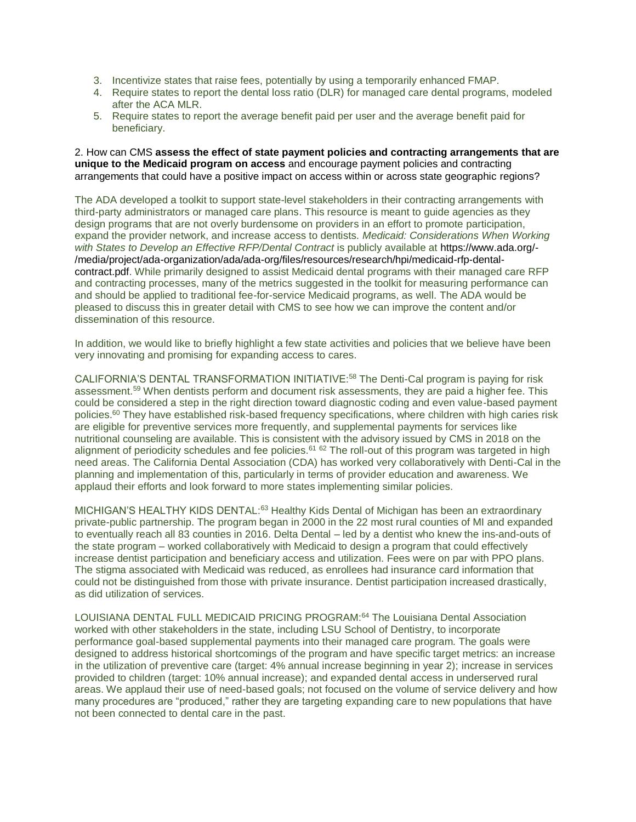- 3. Incentivize states that raise fees, potentially by using a temporarily enhanced FMAP.
- 4. Require states to report the dental loss ratio (DLR) for managed care dental programs, modeled after the ACA MLR.
- 5. Require states to report the average benefit paid per user and the average benefit paid for beneficiary.

2. How can CMS **assess the effect of state payment policies and contracting arrangements that are unique to the Medicaid program on access** and encourage payment policies and contracting arrangements that could have a positive impact on access within or across state geographic regions?

The ADA developed a toolkit to support state-level stakeholders in their contracting arrangements with third-party administrators or managed care plans. This resource is meant to guide agencies as they design programs that are not overly burdensome on providers in an effort to promote participation, expand the provider network, and increase access to dentists. *Medicaid: Considerations When Working with States to Develop an Effective RFP/Dental Contract* is publicly available at [https://www.ada.org/-](https://www.ada.org/-/media/project/ada-organization/ada/ada-org/files/resources/research/hpi/medicaid-rfp-dental-contract.pdf) [/media/project/ada-organization/ada/ada-org/files/resources/research/hpi/medicaid-rfp-dental](https://www.ada.org/-/media/project/ada-organization/ada/ada-org/files/resources/research/hpi/medicaid-rfp-dental-contract.pdf)[contract.pdf.](https://www.ada.org/-/media/project/ada-organization/ada/ada-org/files/resources/research/hpi/medicaid-rfp-dental-contract.pdf) While primarily designed to assist Medicaid dental programs with their managed care RFP and contracting processes, many of the metrics suggested in the toolkit for measuring performance can and should be applied to traditional fee-for-service Medicaid programs, as well. The ADA would be pleased to discuss this in greater detail with CMS to see how we can improve the content and/or dissemination of this resource.

In addition, we would like to briefly highlight a few state activities and policies that we believe have been very innovating and promising for expanding access to cares.

CALIFORNIA'S DENTAL TRANSFORMATION INITIATIVE:<sup>58</sup> The Denti-Cal program is paying for risk assessment.<sup>59</sup> When dentists perform and document risk assessments, they are paid a higher fee. This could be considered a step in the right direction toward diagnostic coding and even value-based payment policies.<sup>60</sup> They have established risk-based frequency specifications, where children with high caries risk are eligible for preventive services more frequently, and supplemental payments for services like nutritional counseling are available. This is consistent with the advisory issued by CMS in 2018 on the alignment of periodicity schedules and fee policies.<sup>61 62</sup> The roll-out of this program was targeted in high need areas. The California Dental Association (CDA) has worked very collaboratively with Denti-Cal in the planning and implementation of this, particularly in terms of provider education and awareness. We applaud their efforts and look forward to more states implementing similar policies.

MICHIGAN'S HEALTHY KIDS DENTAL:<sup>63</sup> Healthy Kids Dental of Michigan has been an extraordinary private-public partnership. The program began in 2000 in the 22 most rural counties of MI and expanded to eventually reach all 83 counties in 2016. Delta Dental – led by a dentist who knew the ins-and-outs of the state program – worked collaboratively with Medicaid to design a program that could effectively increase dentist participation and beneficiary access and utilization. Fees were on par with PPO plans. The stigma associated with Medicaid was reduced, as enrollees had insurance card information that could not be distinguished from those with private insurance. Dentist participation increased drastically, as did utilization of services.

LOUISIANA DENTAL FULL MEDICAID PRICING PROGRAM: <sup>64</sup> The Louisiana Dental Association worked with other stakeholders in the state, including LSU School of Dentistry, to incorporate performance goal-based supplemental payments into their managed care program. The goals were designed to address historical shortcomings of the program and have specific target metrics: an increase in the utilization of preventive care (target: 4% annual increase beginning in year 2); increase in services provided to children (target: 10% annual increase); and expanded dental access in underserved rural areas. We applaud their use of need-based goals; not focused on the volume of service delivery and how many procedures are "produced," rather they are targeting expanding care to new populations that have not been connected to dental care in the past.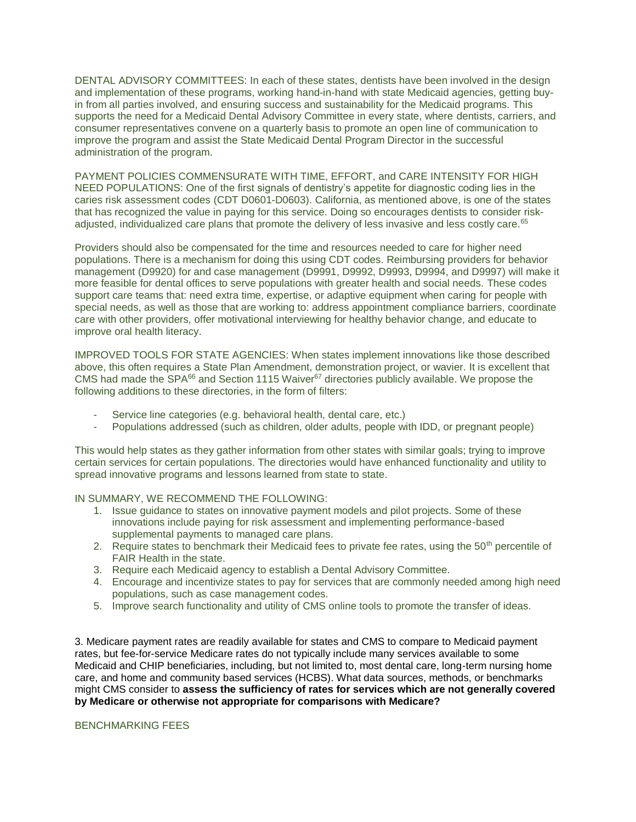DENTAL ADVISORY COMMITTEES: In each of these states, dentists have been involved in the design and implementation of these programs, working hand-in-hand with state Medicaid agencies, getting buyin from all parties involved, and ensuring success and sustainability for the Medicaid programs. This supports the need for a Medicaid Dental Advisory Committee in every state, where dentists, carriers, and consumer representatives convene on a quarterly basis to promote an open line of communication to improve the program and assist the State Medicaid Dental Program Director in the successful administration of the program.

PAYMENT POLICIES COMMENSURATE WITH TIME, EFFORT, and CARE INTENSITY FOR HIGH NEED POPULATIONS: One of the first signals of dentistry's appetite for diagnostic coding lies in the caries risk assessment codes (CDT D0601-D0603). California, as mentioned above, is one of the states that has recognized the value in paying for this service. Doing so encourages dentists to consider riskadjusted, individualized care plans that promote the delivery of less invasive and less costly care.<sup>65</sup>

Providers should also be compensated for the time and resources needed to care for higher need populations. There is a mechanism for doing this using CDT codes. Reimbursing providers for behavior management (D9920) for and case management (D9991, D9992, D9993, D9994, and D9997) will make it more feasible for dental offices to serve populations with greater health and social needs. These codes support care teams that: need extra time, expertise, or adaptive equipment when caring for people with special needs, as well as those that are working to: address appointment compliance barriers, coordinate care with other providers, offer motivational interviewing for healthy behavior change, and educate to improve oral health literacy.

IMPROVED TOOLS FOR STATE AGENCIES: When states implement innovations like those described above, this often requires a State Plan Amendment, demonstration project, or wavier. It is excellent that CMS had made the SPA<sup>66</sup> and Section 1115 Waiver<sup>67</sup> directories publicly available. We propose the following additions to these directories, in the form of filters:

- Service line categories (e.g. behavioral health, dental care, etc.)
- Populations addressed (such as children, older adults, people with IDD, or pregnant people)

This would help states as they gather information from other states with similar goals; trying to improve certain services for certain populations. The directories would have enhanced functionality and utility to spread innovative programs and lessons learned from state to state.

IN SUMMARY, WE RECOMMEND THE FOLLOWING:

- 1. Issue guidance to states on innovative payment models and pilot projects. Some of these innovations include paying for risk assessment and implementing performance-based supplemental payments to managed care plans.
- 2. Require states to benchmark their Medicaid fees to private fee rates, using the  $50<sup>th</sup>$  percentile of FAIR Health in the state.
- 3. Require each Medicaid agency to establish a Dental Advisory Committee.
- 4. Encourage and incentivize states to pay for services that are commonly needed among high need populations, such as case management codes.
- 5. Improve search functionality and utility of CMS online tools to promote the transfer of ideas.

3. Medicare payment rates are readily available for states and CMS to compare to Medicaid payment rates, but fee-for-service Medicare rates do not typically include many services available to some Medicaid and CHIP beneficiaries, including, but not limited to, most dental care, long-term nursing home care, and home and community based services (HCBS). What data sources, methods, or benchmarks might CMS consider to **assess the sufficiency of rates for services which are not generally covered by Medicare or otherwise not appropriate for comparisons with Medicare?**

### BENCHMARKING FEES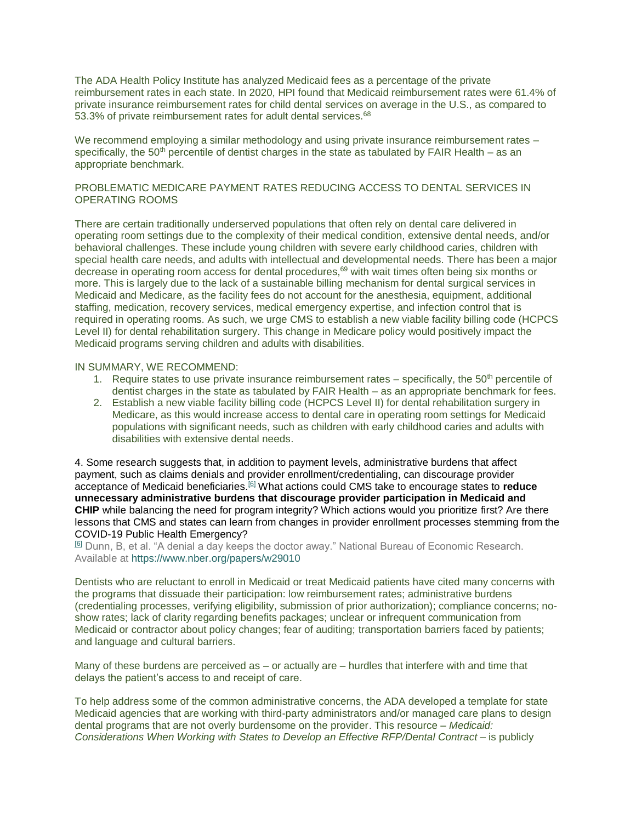The ADA Health Policy Institute has analyzed Medicaid fees as a percentage of the private reimbursement rates in each state. In 2020, HPI found that Medicaid reimbursement rates were 61.4% of private insurance reimbursement rates for child dental services on average in the U.S., as compared to 53.3% of private reimbursement rates for adult dental services.<sup>68</sup>

We recommend employing a similar methodology and using private insurance reimbursement rates – specifically, the 50<sup>th</sup> percentile of dentist charges in the state as tabulated by FAIR Health – as an appropriate benchmark.

# PROBLEMATIC MEDICARE PAYMENT RATES REDUCING ACCESS TO DENTAL SERVICES IN OPERATING ROOMS

There are certain traditionally underserved populations that often rely on dental care delivered in operating room settings due to the complexity of their medical condition, extensive dental needs, and/or behavioral challenges. These include young children with severe early childhood caries, children with special health care needs, and adults with intellectual and developmental needs. There has been a major decrease in operating room access for dental procedures,<sup>69</sup> with wait times often being six months or more. This is largely due to the lack of a sustainable billing mechanism for dental surgical services in Medicaid and Medicare, as the facility fees do not account for the anesthesia, equipment, additional staffing, medication, recovery services, medical emergency expertise, and infection control that is required in operating rooms. As such, we urge CMS to establish a new viable facility billing code (HCPCS Level II) for dental rehabilitation surgery. This change in Medicare policy would positively impact the Medicaid programs serving children and adults with disabilities.

#### IN SUMMARY, WE RECOMMEND:

- 1. Require states to use private insurance reimbursement rates specifically, the  $50<sup>th</sup>$  percentile of dentist charges in the state as tabulated by FAIR Health – as an appropriate benchmark for fees.
- 2. Establish a new viable facility billing code (HCPCS Level II) for dental rehabilitation surgery in Medicare, as this would increase access to dental care in operating room settings for Medicaid populations with significant needs, such as children with early childhood caries and adults with disabilities with extensive dental needs.

4. Some research suggests that, in addition to payment levels, administrative burdens that affect payment, such as claims denials and provider enrollment/credentialing, can discourage provider acceptance of Medicaid beneficiaries.[\[6\]](https://cmsmedicaidaccessrfi.gov1.qualtrics.com/jfe/form/SV_6EYj9eLS9b74Npk#_ftn1) What actions could CMS take to encourage states to **reduce unnecessary administrative burdens that discourage provider participation in Medicaid and CHIP** while balancing the need for program integrity? Which actions would you prioritize first? Are there lessons that CMS and states can learn from changes in provider enrollment processes stemming from the COVID-19 Public Health Emergency?

[\[6\]](https://cmsmedicaidaccessrfi.gov1.qualtrics.com/jfe/form/SV_6EYj9eLS9b74Npk#_ftnref1) Dunn, B, et al. "A denial a day keeps the doctor away." National Bureau of Economic Research. Available at <https://www.nber.org/papers/w29010>

Dentists who are reluctant to enroll in Medicaid or treat Medicaid patients have cited many concerns with the programs that dissuade their participation: low reimbursement rates; administrative burdens (credentialing processes, verifying eligibility, submission of prior authorization); compliance concerns; noshow rates; lack of clarity regarding benefits packages; unclear or infrequent communication from Medicaid or contractor about policy changes; fear of auditing; transportation barriers faced by patients; and language and cultural barriers.

Many of these burdens are perceived as – or actually are – hurdles that interfere with and time that delays the patient's access to and receipt of care.

To help address some of the common administrative concerns, the ADA developed a template for state Medicaid agencies that are working with third-party administrators and/or managed care plans to design dental programs that are not overly burdensome on the provider. This resource – *Medicaid: Considerations When Working with States to Develop an Effective RFP/Dental Contract –* is publicly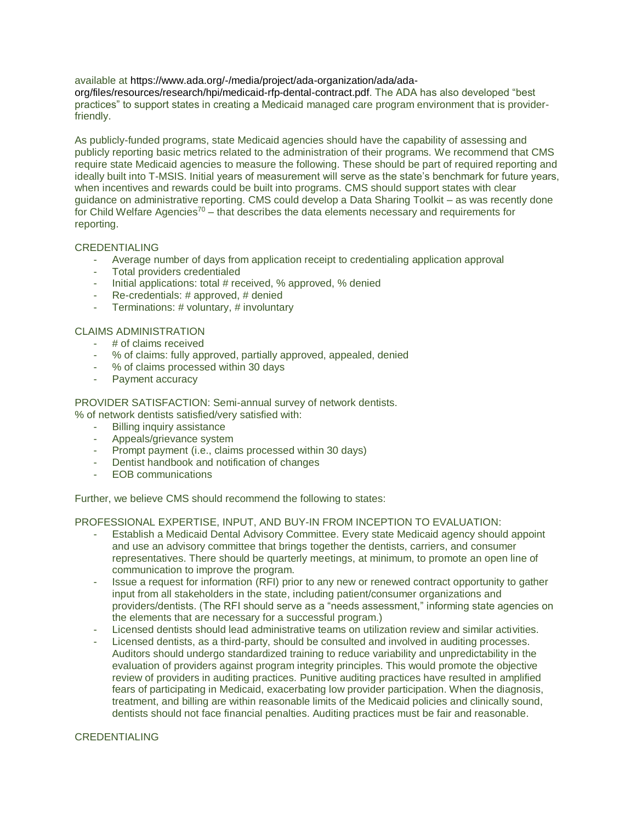available at [https://www.ada.org/-/media/project/ada-organization/ada/ada](https://www.ada.org/-/media/project/ada-organization/ada/ada-org/files/resources/research/hpi/medicaid-rfp-dental-contract.pdf)[org/files/resources/research/hpi/medicaid-rfp-dental-contract.pdf.](https://www.ada.org/-/media/project/ada-organization/ada/ada-org/files/resources/research/hpi/medicaid-rfp-dental-contract.pdf) The ADA has also developed "best practices" to support states in creating a Medicaid managed care program environment that is providerfriendly.

As publicly-funded programs, state Medicaid agencies should have the capability of assessing and publicly reporting basic metrics related to the administration of their programs. We recommend that CMS require state Medicaid agencies to measure the following. These should be part of required reporting and ideally built into T-MSIS. Initial years of measurement will serve as the state's benchmark for future years, when incentives and rewards could be built into programs. CMS should support states with clear guidance on administrative reporting. CMS could develop a Data Sharing Toolkit – as was recently done for Child Welfare Agencies<sup>70</sup> – that describes the data elements necessary and requirements for reporting.

### CREDENTIALING

- Average number of days from application receipt to credentialing application approval
- Total providers credentialed
- Initial applications: total # received, % approved, % denied
- Re-credentials: # approved, # denied
- Terminations: # voluntary, # involuntary

# CLAIMS ADMINISTRATION

- # of claims received
- % of claims: fully approved, partially approved, appealed, denied
- % of claims processed within 30 days
- Payment accuracy

# PROVIDER SATISFACTION: Semi-annual survey of network dentists.

% of network dentists satisfied/very satisfied with:

- Billing inquiry assistance
- Appeals/grievance system
- Prompt payment (i.e., claims processed within 30 days)
- Dentist handbook and notification of changes
- EOB communications

Further, we believe CMS should recommend the following to states:

#### PROFESSIONAL EXPERTISE, INPUT, AND BUY-IN FROM INCEPTION TO EVALUATION:

- Establish a Medicaid Dental Advisory Committee. Every state Medicaid agency should appoint and use an advisory committee that brings together the dentists, carriers, and consumer representatives. There should be quarterly meetings, at minimum, to promote an open line of communication to improve the program.
- Issue a request for information (RFI) prior to any new or renewed contract opportunity to gather input from all stakeholders in the state, including patient/consumer organizations and providers/dentists. (The RFI should serve as a "needs assessment," informing state agencies on the elements that are necessary for a successful program.)
- Licensed dentists should lead administrative teams on utilization review and similar activities.
- Licensed dentists, as a third-party, should be consulted and involved in auditing processes. Auditors should undergo standardized training to reduce variability and unpredictability in the evaluation of providers against program integrity principles. This would promote the objective review of providers in auditing practices. Punitive auditing practices have resulted in amplified fears of participating in Medicaid, exacerbating low provider participation. When the diagnosis, treatment, and billing are within reasonable limits of the Medicaid policies and clinically sound, dentists should not face financial penalties. Auditing practices must be fair and reasonable.

#### CREDENTIALING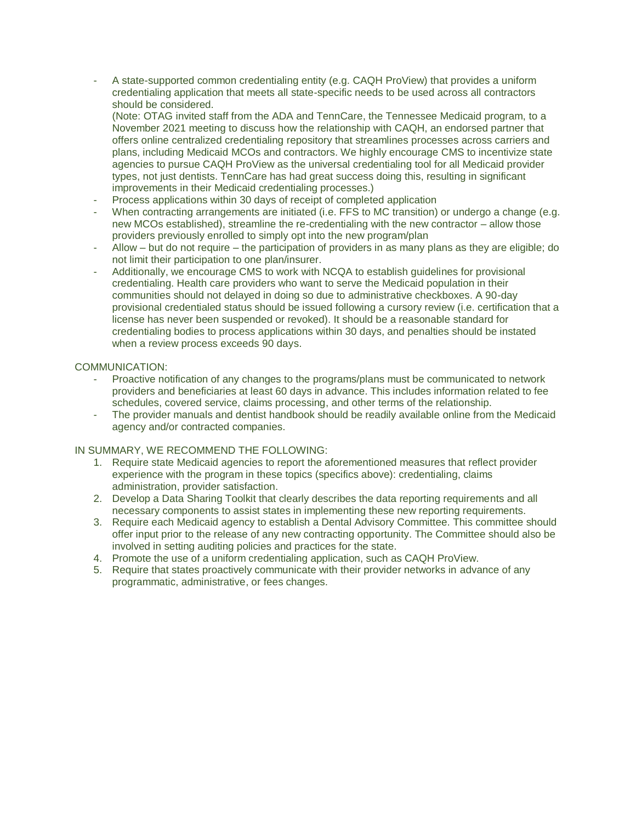A state-supported common credentialing entity (e.g. CAQH ProView) that provides a uniform credentialing application that meets all state-specific needs to be used across all contractors should be considered.

(Note: OTAG invited staff from the ADA and TennCare, the Tennessee Medicaid program, to a November 2021 meeting to discuss how the relationship with CAQH, an endorsed partner that offers online centralized credentialing repository that streamlines processes across carriers and plans, including Medicaid MCOs and contractors. We highly encourage CMS to incentivize state agencies to pursue CAQH ProView as the universal credentialing tool for all Medicaid provider types, not just dentists. TennCare has had great success doing this, resulting in significant improvements in their Medicaid credentialing processes.)

- Process applications within 30 days of receipt of completed application
- When contracting arrangements are initiated (i.e. FFS to MC transition) or undergo a change (e.g. new MCOs established), streamline the re-credentialing with the new contractor – allow those providers previously enrolled to simply opt into the new program/plan
- Allow but do not require the participation of providers in as many plans as they are eligible; do not limit their participation to one plan/insurer.
- Additionally, we encourage CMS to work with NCQA to establish guidelines for provisional credentialing. Health care providers who want to serve the Medicaid population in their communities should not delayed in doing so due to administrative checkboxes. A 90-day provisional credentialed status should be issued following a cursory review (i.e. certification that a license has never been suspended or revoked). It should be a reasonable standard for credentialing bodies to process applications within 30 days, and penalties should be instated when a review process exceeds 90 days.

# COMMUNICATION:

- Proactive notification of any changes to the programs/plans must be communicated to network providers and beneficiaries at least 60 days in advance. This includes information related to fee schedules, covered service, claims processing, and other terms of the relationship.
- The provider manuals and dentist handbook should be readily available online from the Medicaid agency and/or contracted companies.

# IN SUMMARY, WE RECOMMEND THE FOLLOWING:

- 1. Require state Medicaid agencies to report the aforementioned measures that reflect provider experience with the program in these topics (specifics above): credentialing, claims administration, provider satisfaction.
- 2. Develop a Data Sharing Toolkit that clearly describes the data reporting requirements and all necessary components to assist states in implementing these new reporting requirements.
- 3. Require each Medicaid agency to establish a Dental Advisory Committee. This committee should offer input prior to the release of any new contracting opportunity. The Committee should also be involved in setting auditing policies and practices for the state.
- 4. Promote the use of a uniform credentialing application, such as CAQH ProView.
- 5. Require that states proactively communicate with their provider networks in advance of any programmatic, administrative, or fees changes.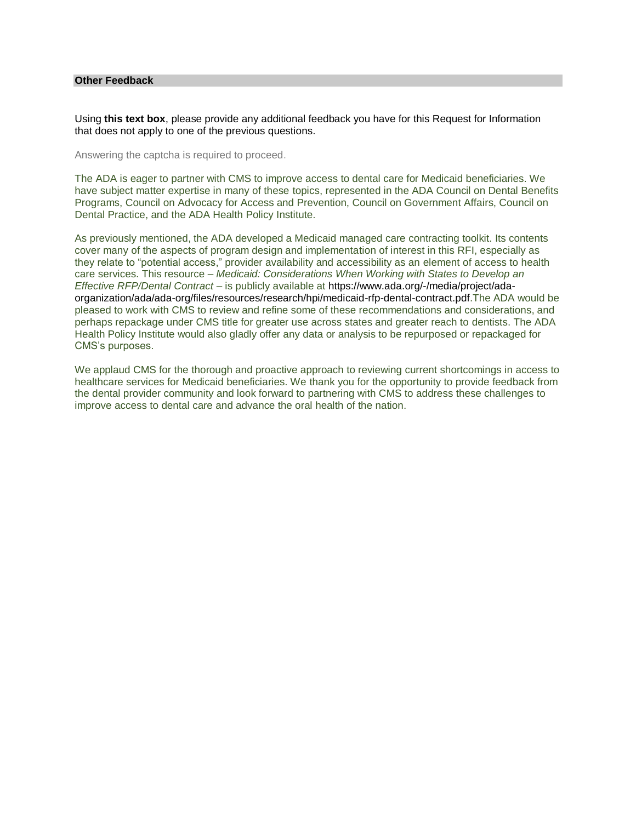### **Other Feedback**

Using **this text box**, please provide any additional feedback you have for this Request for Information that does not apply to one of the previous questions.

Answering the captcha is required to proceed.

The ADA is eager to partner with CMS to improve access to dental care for Medicaid beneficiaries. We have subject matter expertise in many of these topics, represented in the ADA Council on Dental Benefits Programs, Council on Advocacy for Access and Prevention, Council on Government Affairs, Council on Dental Practice, and the ADA Health Policy Institute.

As previously mentioned, the ADA developed a Medicaid managed care contracting toolkit. Its contents cover many of the aspects of program design and implementation of interest in this RFI, especially as they relate to "potential access," provider availability and accessibility as an element of access to health care services. This resource – *Medicaid: Considerations When Working with States to Develop an Effective RFP/Dental Contract –* is publicly available at [https://www.ada.org/-/media/project/ada](https://www.ada.org/-/media/project/ada-organization/ada/ada-org/files/resources/research/hpi/medicaid-rfp-dental-contract.pdf)[organization/ada/ada-org/files/resources/research/hpi/medicaid-rfp-dental-contract.pdf.](https://www.ada.org/-/media/project/ada-organization/ada/ada-org/files/resources/research/hpi/medicaid-rfp-dental-contract.pdf)The ADA would be pleased to work with CMS to review and refine some of these recommendations and considerations, and perhaps repackage under CMS title for greater use across states and greater reach to dentists. The ADA Health Policy Institute would also gladly offer any data or analysis to be repurposed or repackaged for CMS's purposes.

We applaud CMS for the thorough and proactive approach to reviewing current shortcomings in access to healthcare services for Medicaid beneficiaries. We thank you for the opportunity to provide feedback from the dental provider community and look forward to partnering with CMS to address these challenges to improve access to dental care and advance the oral health of the nation.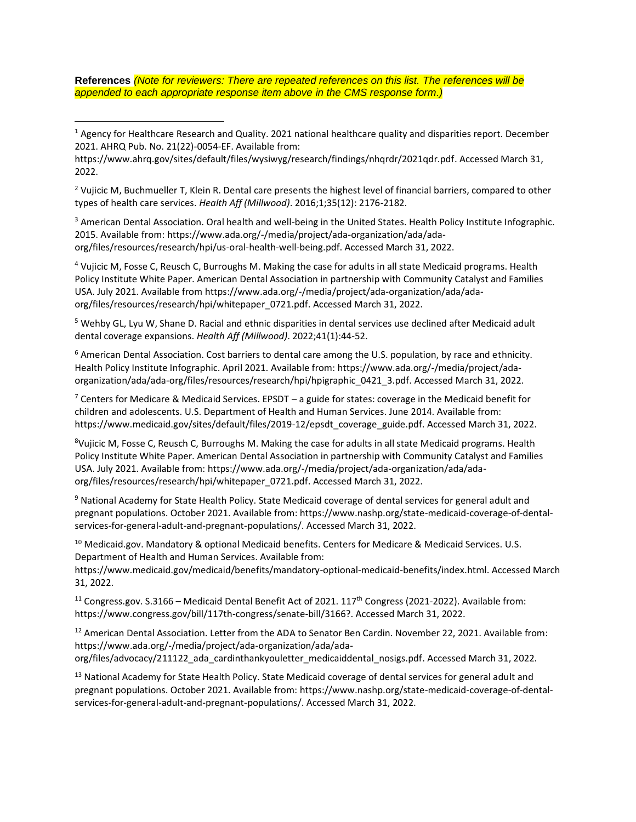**References** *(Note for reviewers: There are repeated references on this list. The references will be appended to each appropriate response item above in the CMS response form.)*

 $\overline{a}$ 

<sup>2</sup> Vujicic M, Buchmueller T, Klein R. Dental care presents the highest level of financial barriers, compared to other types of health care services. *Health Aff (Millwood)*. 2016;1;35(12): 2176-2182.

<sup>3</sup> American Dental Association. Oral health and well-being in the United States. Health Policy Institute Infographic. 2015. Available from: [https://www.ada.org/-/media/project/ada-organization/ada/ada](https://www.ada.org/-/media/project/ada-organization/ada/ada-org/files/resources/research/hpi/us-oral-health-well-being.pdf)[org/files/resources/research/hpi/us-oral-health-well-being.pdf.](https://www.ada.org/-/media/project/ada-organization/ada/ada-org/files/resources/research/hpi/us-oral-health-well-being.pdf) Accessed March 31, 2022.

<sup>4</sup> Vujicic M, Fosse C, Reusch C, Burroughs M. Making the case for adults in all state Medicaid programs. Health Policy Institute White Paper. American Dental Association in partnership with Community Catalyst and Families USA. July 2021. Available from [https://www.ada.org/-/media/project/ada-organization/ada/ada](https://www.ada.org/-/media/project/ada-organization/ada/ada-org/files/resources/research/hpi/whitepaper_0721.pdf)[org/files/resources/research/hpi/whitepaper\\_0721.pdf.](https://www.ada.org/-/media/project/ada-organization/ada/ada-org/files/resources/research/hpi/whitepaper_0721.pdf) Accessed March 31, 2022.

<sup>5</sup> Wehby GL, Lyu W, Shane D. Racial and ethnic disparities in dental services use declined after Medicaid adult dental coverage expansions. *Health Aff (Millwood)*. 2022;41(1):44-52.

<sup>6</sup> American Dental Association. Cost barriers to dental care among the U.S. population, by race and ethnicity. Health Policy Institute Infographic. April 2021. Available from: [https://www.ada.org/-/media/project/ada](https://www.ada.org/-/media/project/ada-organization/ada/ada-org/files/resources/research/hpi/hpigraphic_0421_3.pdf)[organization/ada/ada-org/files/resources/research/hpi/hpigraphic\\_0421\\_3.pdf.](https://www.ada.org/-/media/project/ada-organization/ada/ada-org/files/resources/research/hpi/hpigraphic_0421_3.pdf) Accessed March 31, 2022.

 $7$  Centers for Medicare & Medicaid Services. EPSDT – a guide for states: coverage in the Medicaid benefit for children and adolescents. U.S. Department of Health and Human Services. June 2014. Available from: [https://www.medicaid.gov/sites/default/files/2019-12/epsdt\\_coverage\\_guide.pdf.](https://www.medicaid.gov/sites/default/files/2019-12/epsdt_coverage_guide.pdf) Accessed March 31, 2022.

<sup>8</sup>Vujicic M, Fosse C, Reusch C, Burroughs M. Making the case for adults in all state Medicaid programs. Health Policy Institute White Paper. American Dental Association in partnership with Community Catalyst and Families USA. July 2021. Available from: [https://www.ada.org/-/media/project/ada-organization/ada/ada](https://www.ada.org/-/media/project/ada-organization/ada/ada-org/files/resources/research/hpi/whitepaper_0721.pdf)[org/files/resources/research/hpi/whitepaper\\_0721.pdf.](https://www.ada.org/-/media/project/ada-organization/ada/ada-org/files/resources/research/hpi/whitepaper_0721.pdf) Accessed March 31, 2022.

<sup>9</sup> National Academy for State Health Policy. State Medicaid coverage of dental services for general adult and pregnant populations. October 2021. Available from: [https://www.nashp.org/state-medicaid-coverage-of-dental](https://www.nashp.org/state-medicaid-coverage-of-dental-services-for-general-adult-and-pregnant-populations/)[services-for-general-adult-and-pregnant-populations/.](https://www.nashp.org/state-medicaid-coverage-of-dental-services-for-general-adult-and-pregnant-populations/) Accessed March 31, 2022.

<sup>10</sup> Medicaid.gov. Mandatory & optional Medicaid benefits. Centers for Medicare & Medicaid Services. U.S. Department of Health and Human Services. Available from:

[https://www.medicaid.gov/medicaid/benefits/mandatory-optional-medicaid-benefits/index.html.](https://www.medicaid.gov/medicaid/benefits/mandatory-optional-medicaid-benefits/index.html) Accessed March 31, 2022.

<sup>11</sup> Congress.gov. S.3166 – Medicaid Dental Benefit Act of 2021. 117<sup>th</sup> Congress (2021-2022). Available from: [https://www.congress.gov/bill/117th-congress/senate-bill/3166?](https://www.congress.gov/bill/117th-congress/senate-bill/3166). Accessed March 31, 2022.

<sup>12</sup> American Dental Association. Letter from the ADA to Senator Ben Cardin. November 22, 2021. Available from: [https://www.ada.org/-/media/project/ada-organization/ada/ada](https://www.ada.org/-/media/project/ada-organization/ada/ada-org/files/advocacy/211122_ada_cardinthankyouletter_medicaiddental_nosigs.pdf)[org/files/advocacy/211122\\_ada\\_cardinthankyouletter\\_medicaiddental\\_nosigs.pdf.](https://www.ada.org/-/media/project/ada-organization/ada/ada-org/files/advocacy/211122_ada_cardinthankyouletter_medicaiddental_nosigs.pdf) Accessed March 31, 2022.

<sup>13</sup> National Academy for State Health Policy. State Medicaid coverage of dental services for general adult and pregnant populations. October 2021. Available from: [https://www.nashp.org/state-medicaid-coverage-of-dental](https://www.nashp.org/state-medicaid-coverage-of-dental-services-for-general-adult-and-pregnant-populations/)[services-for-general-adult-and-pregnant-populations/.](https://www.nashp.org/state-medicaid-coverage-of-dental-services-for-general-adult-and-pregnant-populations/) Accessed March 31, 2022.

 $1$  Agency for Healthcare Research and Quality. 2021 national healthcare quality and disparities report. December 2021. AHRQ Pub. No. 21(22)-0054-EF. Available from:

[https://www.ahrq.gov/sites/default/files/wysiwyg/research/findings/nhqrdr/2021qdr.pdf.](https://www.ahrq.gov/sites/default/files/wysiwyg/research/findings/nhqrdr/2021qdr.pdf) Accessed March 31, 2022.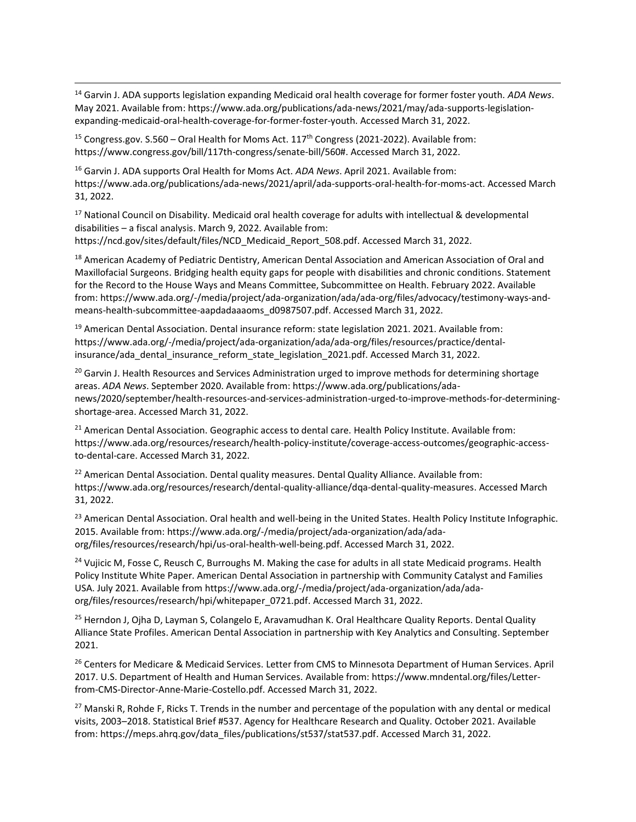<sup>14</sup> Garvin J. ADA supports legislation expanding Medicaid oral health coverage for former foster youth. *ADA News*. May 2021. Available from: [https://www.ada.org/publications/ada-news/2021/may/ada-supports-legislation](https://www.ada.org/publications/ada-news/2021/may/ada-supports-legislation-expanding-medicaid-oral-health-coverage-for-former-foster-youth)[expanding-medicaid-oral-health-coverage-for-former-foster-youth.](https://www.ada.org/publications/ada-news/2021/may/ada-supports-legislation-expanding-medicaid-oral-health-coverage-for-former-foster-youth) Accessed March 31, 2022.

<sup>15</sup> Congress.gov. S.560 – Oral Health for Moms Act.  $117<sup>th</sup>$  Congress (2021-2022). Available from: [https://www.congress.gov/bill/117th-congress/senate-bill/560#.](https://www.congress.gov/bill/117th-congress/senate-bill/560) Accessed March 31, 2022.

l

<sup>16</sup> Garvin J. ADA supports Oral Health for Moms Act. *ADA News*. April 2021. Available from: [https://www.ada.org/publications/ada-news/2021/april/ada-supports-oral-health-for-moms-act.](https://www.ada.org/publications/ada-news/2021/april/ada-supports-oral-health-for-moms-act) Accessed March 31, 2022.

<sup>17</sup> National Council on Disability. Medicaid oral health coverage for adults with intellectual & developmental disabilities – a fiscal analysis. March 9, 2022. Available from: [https://ncd.gov/sites/default/files/NCD\\_Medicaid\\_Report\\_508.pdf.](https://ncd.gov/sites/default/files/NCD_Medicaid_Report_508.pdf) Accessed March 31, 2022.

<sup>18</sup> American Academy of Pediatric Dentistry, American Dental Association and American Association of Oral and Maxillofacial Surgeons. Bridging health equity gaps for people with disabilities and chronic conditions. Statement for the Record to the House Ways and Means Committee, Subcommittee on Health. February 2022. Available from[: https://www.ada.org/-/media/project/ada-organization/ada/ada-org/files/advocacy/testimony-ways-and](https://www.ada.org/-/media/project/ada-organization/ada/ada-org/files/advocacy/testimony-ways-and-means-health-subcommittee-aapdadaaaoms_d0987507.pdf)[means-health-subcommittee-aapdadaaaoms\\_d0987507.pdf.](https://www.ada.org/-/media/project/ada-organization/ada/ada-org/files/advocacy/testimony-ways-and-means-health-subcommittee-aapdadaaaoms_d0987507.pdf) Accessed March 31, 2022.

<sup>19</sup> American Dental Association. Dental insurance reform: state legislation 2021. 2021. Available from: [https://www.ada.org/-/media/project/ada-organization/ada/ada-org/files/resources/practice/dental](https://www.ada.org/-/media/project/ada-organization/ada/ada-org/files/resources/practice/dental-insurance/ada_dental_insurance_reform_state_legislation_2021.pdf)[insurance/ada\\_dental\\_insurance\\_reform\\_state\\_legislation\\_2021.pdf.](https://www.ada.org/-/media/project/ada-organization/ada/ada-org/files/resources/practice/dental-insurance/ada_dental_insurance_reform_state_legislation_2021.pdf) Accessed March 31, 2022.

<sup>20</sup> Garvin J. Health Resources and Services Administration urged to improve methods for determining shortage areas. *ADA News*. September 2020. Available from: [https://www.ada.org/publications/ada](https://www.ada.org/publications/ada-news/2020/september/health-resources-and-services-administration-urged-to-improve-methods-for-determining-shortage-area)[news/2020/september/health-resources-and-services-administration-urged-to-improve-methods-for-determining](https://www.ada.org/publications/ada-news/2020/september/health-resources-and-services-administration-urged-to-improve-methods-for-determining-shortage-area)[shortage-area.](https://www.ada.org/publications/ada-news/2020/september/health-resources-and-services-administration-urged-to-improve-methods-for-determining-shortage-area) Accessed March 31, 2022.

<sup>21</sup> American Dental Association. Geographic access to dental care. Health Policy Institute. Available from: [https://www.ada.org/resources/research/health-policy-institute/coverage-access-outcomes/geographic-access](https://www.ada.org/resources/research/health-policy-institute/coverage-access-outcomes/geographic-access-to-dental-care)[to-dental-care.](https://www.ada.org/resources/research/health-policy-institute/coverage-access-outcomes/geographic-access-to-dental-care) Accessed March 31, 2022.

<sup>22</sup> American Dental Association. Dental quality measures. Dental Quality Alliance. Available from: [https://www.ada.org/resources/research/dental-quality-alliance/dqa-dental-quality-measures.](https://www.ada.org/resources/research/dental-quality-alliance/dqa-dental-quality-measures) Accessed March 31, 2022.

<sup>23</sup> American Dental Association. Oral health and well-being in the United States. Health Policy Institute Infographic. 2015. Available from: [https://www.ada.org/-/media/project/ada-organization/ada/ada](https://www.ada.org/-/media/project/ada-organization/ada/ada-org/files/resources/research/hpi/us-oral-health-well-being.pdf)[org/files/resources/research/hpi/us-oral-health-well-being.pdf.](https://www.ada.org/-/media/project/ada-organization/ada/ada-org/files/resources/research/hpi/us-oral-health-well-being.pdf) Accessed March 31, 2022.

<sup>24</sup> Vujicic M, Fosse C, Reusch C, Burroughs M. Making the case for adults in all state Medicaid programs. Health Policy Institute White Paper. American Dental Association in partnership with Community Catalyst and Families USA. July 2021. Available from [https://www.ada.org/-/media/project/ada-organization/ada/ada](https://www.ada.org/-/media/project/ada-organization/ada/ada-org/files/resources/research/hpi/whitepaper_0721.pdf)[org/files/resources/research/hpi/whitepaper\\_0721.pdf.](https://www.ada.org/-/media/project/ada-organization/ada/ada-org/files/resources/research/hpi/whitepaper_0721.pdf) Accessed March 31, 2022.

<sup>25</sup> Herndon J, Ojha D, Layman S, Colangelo E, Aravamudhan K. Oral Healthcare Quality Reports. Dental Quality Alliance State Profiles. American Dental Association in partnership with Key Analytics and Consulting. September 2021.

<sup>26</sup> Centers for Medicare & Medicaid Services. Letter from CMS to Minnesota Department of Human Services. April 2017. U.S. Department of Health and Human Services. Available from: https://www.mndental.org/files/Letterfrom-CMS-Director-Anne-Marie-Costello.pdf. Accessed March 31, 2022.

 $27$  Manski R, Rohde F, Ricks T. Trends in the number and percentage of the population with any dental or medical visits, 2003–2018. Statistical Brief #537. Agency for Healthcare Research and Quality. October 2021. Available from[: https://meps.ahrq.gov/data\\_files/publications/st537/stat537.pdf.](https://meps.ahrq.gov/data_files/publications/st537/stat537.pdf) Accessed March 31, 2022.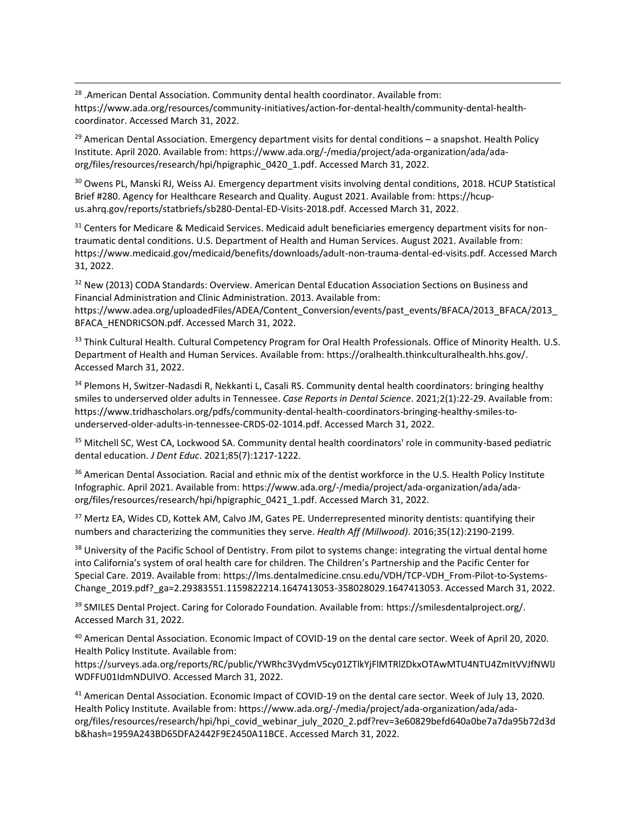<sup>28</sup> .American Dental Association. Community dental health coordinator. Available from: [https://www.ada.org/resources/community-initiatives/action-for-dental-health/community-dental-health](https://www.ada.org/resources/community-initiatives/action-for-dental-health/community-dental-health-coordinator)[coordinator.](https://www.ada.org/resources/community-initiatives/action-for-dental-health/community-dental-health-coordinator) Accessed March 31, 2022.

l

 $29$  American Dental Association. Emergency department visits for dental conditions – a snapshot. Health Policy Institute. April 2020. Available from: [https://www.ada.org/-/media/project/ada-organization/ada/ada](https://www.ada.org/-/media/project/ada-organization/ada/ada-org/files/resources/research/hpi/hpigraphic_0420_1.pdf)[org/files/resources/research/hpi/hpigraphic\\_0420\\_1.pdf.](https://www.ada.org/-/media/project/ada-organization/ada/ada-org/files/resources/research/hpi/hpigraphic_0420_1.pdf) Accessed March 31, 2022.

<sup>30</sup> Owens PL, Manski RJ, Weiss AJ. Emergency department visits involving dental conditions, 2018. HCUP Statistical Brief #280. Agency for Healthcare Research and Quality. August 2021. Available from[: https://hcup](https://hcup-us.ahrq.gov/reports/statbriefs/sb280-Dental-ED-Visits-2018.pdf)[us.ahrq.gov/reports/statbriefs/sb280-Dental-ED-Visits-2018.pdf.](https://hcup-us.ahrq.gov/reports/statbriefs/sb280-Dental-ED-Visits-2018.pdf) Accessed March 31, 2022.

<sup>31</sup> Centers for Medicare & Medicaid Services. Medicaid adult beneficiaries emergency department visits for nontraumatic dental conditions. U.S. Department of Health and Human Services. August 2021. Available from: [https://www.medicaid.gov/medicaid/benefits/downloads/adult-non-trauma-dental-ed-visits.pdf.](https://www.medicaid.gov/medicaid/benefits/downloads/adult-non-trauma-dental-ed-visits.pdf) Accessed March 31, 2022.

<sup>32</sup> New (2013) CODA Standards: Overview. American Dental Education Association Sections on Business and Financial Administration and Clinic Administration. 2013. Available from:

https://www.adea.org/uploadedFiles/ADEA/Content\_Conversion/events/past\_events/BFACA/2013\_BFACA/2013 [BFACA\\_HENDRICSON.pdf.](https://www.adea.org/uploadedFiles/ADEA/Content_Conversion/events/past_events/BFACA/2013_BFACA/2013_BFACA_HENDRICSON.pdf) Accessed March 31, 2022.

33 Think Cultural Health. Cultural Competency Program for Oral Health Professionals. Office of Minority Health. U.S. Department of Health and Human Services. Available from[: https://oralhealth.thinkculturalhealth.hhs.gov/.](https://oralhealth.thinkculturalhealth.hhs.gov/) Accessed March 31, 2022.

<sup>34</sup> Plemons H, Switzer-Nadasdi R, Nekkanti L, Casali RS. Community dental health coordinators: bringing healthy smiles to underserved older adults in Tennessee. *Case Reports in Dental Science*. 2021;2(1):22-29. Available from: [https://www.tridhascholars.org/pdfs/community-dental-health-coordinators-bringing-healthy-smiles-to](https://www.tridhascholars.org/pdfs/community-dental-health-coordinators-bringing-healthy-smiles-to-underserved-older-adults-in-tennessee-CRDS-02-1014.pdf)[underserved-older-adults-in-tennessee-CRDS-02-1014.pdf.](https://www.tridhascholars.org/pdfs/community-dental-health-coordinators-bringing-healthy-smiles-to-underserved-older-adults-in-tennessee-CRDS-02-1014.pdf) Accessed March 31, 2022.

<sup>35</sup> Mitchell SC, West CA, Lockwood SA. Community dental health coordinators' role in community-based pediatric dental education. *J Dent Educ*. 2021;85(7):1217-1222.

<sup>36</sup> American Dental Association. Racial and ethnic mix of the dentist workforce in the U.S. Health Policy Institute Infographic. April 2021. Available from: [https://www.ada.org/-/media/project/ada-organization/ada/ada](https://www.ada.org/-/media/project/ada-organization/ada/ada-org/files/resources/research/hpi/hpigraphic_0421_1.pdf)[org/files/resources/research/hpi/hpigraphic\\_0421\\_1.pdf.](https://www.ada.org/-/media/project/ada-organization/ada/ada-org/files/resources/research/hpi/hpigraphic_0421_1.pdf) Accessed March 31, 2022.

<sup>37</sup> Mertz EA, Wides CD, Kottek AM, Calvo JM, Gates PE. Underrepresented minority dentists: quantifying their numbers and characterizing the communities they serve. *Health Aff (Millwood)*. 2016;35(12):2190-2199.

<sup>38</sup> University of the Pacific School of Dentistry. From pilot to systems change: integrating the virtual dental home into California's system of oral health care for children. The Children's Partnership and the Pacific Center for Special Care. 2019. Available from: [https://lms.dentalmedicine.cnsu.edu/VDH/TCP-VDH\\_From-Pilot-to-Systems-](https://lms.dentalmedicine.cnsu.edu/VDH/TCP-VDH_From-Pilot-to-Systems-Change_2019.pdf?_ga=2.29383551.1159822214.1647413053-358028029.1647413053)[Change\\_2019.pdf?\\_ga=2.29383551.1159822214.1647413053-358028029.1647413053.](https://lms.dentalmedicine.cnsu.edu/VDH/TCP-VDH_From-Pilot-to-Systems-Change_2019.pdf?_ga=2.29383551.1159822214.1647413053-358028029.1647413053) Accessed March 31, 2022.

<sup>39</sup> SMILES Dental Project. Caring for Colorado Foundation. Available from: [https://smilesdentalproject.org/.](https://smilesdentalproject.org/) Accessed March 31, 2022.

<sup>40</sup> American Dental Association. Economic Impact of COVID-19 on the dental care sector. Week of April 20, 2020. Health Policy Institute. Available from:

[https://surveys.ada.org/reports/RC/public/YWRhc3VydmV5cy01ZTlkYjFlMTRlZDkxOTAwMTU4NTU4ZmItVVJfNWlJ](https://surveys.ada.org/reports/RC/public/YWRhc3VydmV5cy01ZTlkYjFlMTRlZDkxOTAwMTU4NTU4ZmItVVJfNWlJWDFFU01IdmNDUlVO) [WDFFU01IdmNDUlVO.](https://surveys.ada.org/reports/RC/public/YWRhc3VydmV5cy01ZTlkYjFlMTRlZDkxOTAwMTU4NTU4ZmItVVJfNWlJWDFFU01IdmNDUlVO) Accessed March 31, 2022.

<sup>41</sup> American Dental Association. Economic Impact of COVID-19 on the dental care sector. Week of July 13, 2020. Health Policy Institute. Available from: [https://www.ada.org/-/media/project/ada-organization/ada/ada](https://www.ada.org/-/media/project/ada-organization/ada/ada-org/files/resources/research/hpi/hpi_covid_webinar_july_2020_2.pdf?rev=3e60829befd640a0be7a7da95b72d3db&hash=1959A243BD65DFA2442F9E2450A11BCE)[org/files/resources/research/hpi/hpi\\_covid\\_webinar\\_july\\_2020\\_2.pdf?rev=3e60829befd640a0be7a7da95b72d3d](https://www.ada.org/-/media/project/ada-organization/ada/ada-org/files/resources/research/hpi/hpi_covid_webinar_july_2020_2.pdf?rev=3e60829befd640a0be7a7da95b72d3db&hash=1959A243BD65DFA2442F9E2450A11BCE) [b&hash=1959A243BD65DFA2442F9E2450A11BCE.](https://www.ada.org/-/media/project/ada-organization/ada/ada-org/files/resources/research/hpi/hpi_covid_webinar_july_2020_2.pdf?rev=3e60829befd640a0be7a7da95b72d3db&hash=1959A243BD65DFA2442F9E2450A11BCE) Accessed March 31, 2022.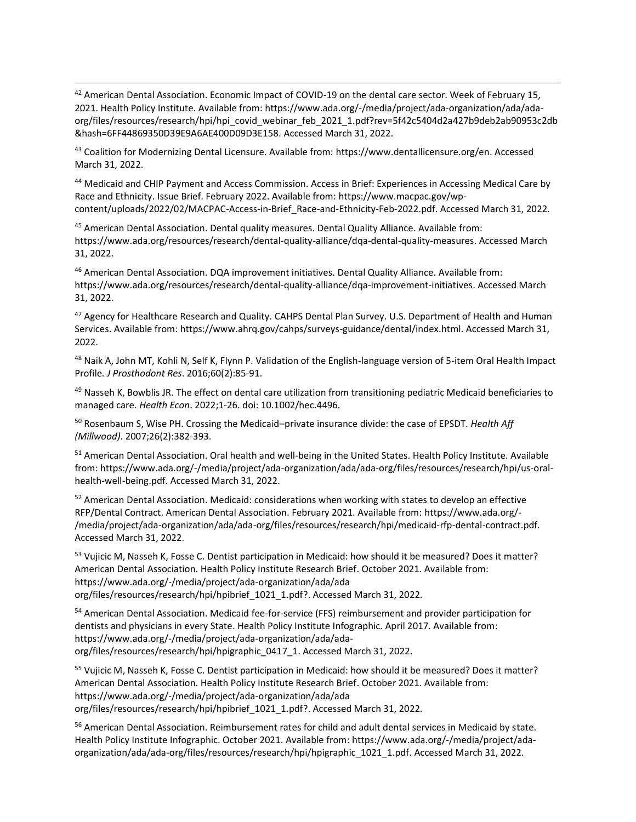<sup>42</sup> American Dental Association. Economic Impact of COVID-19 on the dental care sector. Week of February 15, 2021. Health Policy Institute. Available from: [https://www.ada.org/-/media/project/ada-organization/ada/ada](https://www.ada.org/-/media/project/ada-organization/ada/ada-org/files/resources/research/hpi/hpi_covid_webinar_feb_2021_1.pdf?rev=5f42c5404d2a427b9deb2ab90953c2db&hash=6FF44869350D39E9A6AE400D09D3E158)[org/files/resources/research/hpi/hpi\\_covid\\_webinar\\_feb\\_2021\\_1.pdf?rev=5f42c5404d2a427b9deb2ab90953c2db](https://www.ada.org/-/media/project/ada-organization/ada/ada-org/files/resources/research/hpi/hpi_covid_webinar_feb_2021_1.pdf?rev=5f42c5404d2a427b9deb2ab90953c2db&hash=6FF44869350D39E9A6AE400D09D3E158) [&hash=6FF44869350D39E9A6AE400D09D3E158.](https://www.ada.org/-/media/project/ada-organization/ada/ada-org/files/resources/research/hpi/hpi_covid_webinar_feb_2021_1.pdf?rev=5f42c5404d2a427b9deb2ab90953c2db&hash=6FF44869350D39E9A6AE400D09D3E158) Accessed March 31, 2022.

<sup>43</sup> Coalition for Modernizing Dental Licensure. Available from: [https://www.dentallicensure.org/en.](https://www.dentallicensure.org/en) Accessed March 31, 2022.

l

<sup>44</sup> Medicaid and CHIP Payment and Access Commission. Access in Brief: Experiences in Accessing Medical Care by Race and Ethnicity. Issue Brief. February 2022. Available from: [https://www.macpac.gov/wp](https://www.macpac.gov/wp-content/uploads/2022/02/MACPAC-Access-in-Brief_Race-and-Ethnicity-Feb-2022.pdf)[content/uploads/2022/02/MACPAC-Access-in-Brief\\_Race-and-Ethnicity-Feb-2022.pdf.](https://www.macpac.gov/wp-content/uploads/2022/02/MACPAC-Access-in-Brief_Race-and-Ethnicity-Feb-2022.pdf) Accessed March 31, 2022.

<sup>45</sup> American Dental Association. Dental quality measures. Dental Quality Alliance. Available from: [https://www.ada.org/resources/research/dental-quality-alliance/dqa-dental-quality-measures.](https://www.ada.org/resources/research/dental-quality-alliance/dqa-dental-quality-measures) Accessed March 31, 2022.

<sup>46</sup> American Dental Association. DQA improvement initiatives. Dental Quality Alliance. Available from: [https://www.ada.org/resources/research/dental-quality-alliance/dqa-improvement-initiatives.](https://www.ada.org/resources/research/dental-quality-alliance/dqa-improvement-initiatives) Accessed March 31, 2022.

<sup>47</sup> Agency for Healthcare Research and Quality. CAHPS Dental Plan Survey. U.S. Department of Health and Human Services. Available from: [https://www.ahrq.gov/cahps/surveys-guidance/dental/index.html.](https://www.ahrq.gov/cahps/surveys-guidance/dental/index.html) Accessed March 31, 2022.

48 Naik A, John MT, Kohli N, Self K, Flynn P. Validation of the English-language version of 5-item Oral Health Impact Profile*. J Prosthodont Res*. 2016;60(2):85-91.

 $49$  Nasseh K, Bowblis JR. The effect on dental care utilization from transitioning pediatric Medicaid beneficiaries to managed care. *Health Econ*. 2022;1-26. doi: 10.1002/hec.4496.

<sup>50</sup> Rosenbaum S, Wise PH. Crossing the Medicaid–private insurance divide: the case of EPSDT. *Health Aff (Millwood)*. 2007;26(2):382-393.

<sup>51</sup> American Dental Association. Oral health and well-being in the United States. Health Policy Institute. Available from[: https://www.ada.org/-/media/project/ada-organization/ada/ada-org/files/resources/research/hpi/us-oral](https://www.ada.org/-/media/project/ada-organization/ada/ada-org/files/resources/research/hpi/us-oral-health-well-being.pdf)[health-well-being.pdf.](https://www.ada.org/-/media/project/ada-organization/ada/ada-org/files/resources/research/hpi/us-oral-health-well-being.pdf) Accessed March 31, 2022.

<sup>52</sup> American Dental Association. Medicaid: considerations when working with states to develop an effective RFP/Dental Contract. American Dental Association. February 2021. Available from: [https://www.ada.org/-](https://www.ada.org/-/media/project/ada-organization/ada/ada-org/files/resources/research/hpi/medicaid-rfp-dental-contract.pdf) [/media/project/ada-organization/ada/ada-org/files/resources/research/hpi/medicaid-rfp-dental-contract.pdf.](https://www.ada.org/-/media/project/ada-organization/ada/ada-org/files/resources/research/hpi/medicaid-rfp-dental-contract.pdf) Accessed March 31, 2022.

<sup>53</sup> Vujicic M, Nasseh K, Fosse C. Dentist participation in Medicaid: how should it be measured? Does it matter? American Dental Association. Health Policy Institute Research Brief. October 2021. Available from: [https://www.ada.org/-/media/project/ada-organization/ada/ada](https://www.ada.org/-/media/project/ada-organization/ada/ada%20org/files/resources/research/hpi/hpibrief_1021_1.pdf)  [org/files/resources/research/hpi/hpibrief\\_1021\\_1.pdf?](https://www.ada.org/-/media/project/ada-organization/ada/ada%20org/files/resources/research/hpi/hpibrief_1021_1.pdf). Accessed March 31, 2022.

<sup>54</sup> American Dental Association. Medicaid fee-for-service (FFS) reimbursement and provider participation for dentists and physicians in every State. Health Policy Institute Infographic. April 2017. Available from: [https://www.ada.org/-/media/project/ada-organization/ada/ada](https://www.ada.org/-/media/project/ada-organization/ada/ada-org/files/resources/research/hpi/hpigraphic_0417_1)[org/files/resources/research/hpi/hpigraphic\\_0417\\_1.](https://www.ada.org/-/media/project/ada-organization/ada/ada-org/files/resources/research/hpi/hpigraphic_0417_1) Accessed March 31, 2022.

<sup>55</sup> Vujicic M, Nasseh K, Fosse C. Dentist participation in Medicaid: how should it be measured? Does it matter? American Dental Association. Health Policy Institute Research Brief. October 2021. Available from: [https://www.ada.org/-/media/project/ada-organization/ada/ada](https://www.ada.org/-/media/project/ada-organization/ada/ada%20org/files/resources/research/hpi/hpibrief_1021_1.pdf)  [org/files/resources/research/hpi/hpibrief\\_1021\\_1.pdf?](https://www.ada.org/-/media/project/ada-organization/ada/ada%20org/files/resources/research/hpi/hpibrief_1021_1.pdf). Accessed March 31, 2022.

<sup>56</sup> American Dental Association. Reimbursement rates for child and adult dental services in Medicaid by state. Health Policy Institute Infographic. October 2021. Available from: [https://www.ada.org/-/media/project/ada](https://www.ada.org/-/media/project/ada-organization/ada/ada-org/files/resources/research/hpi/hpigraphic_1021_1.pdf)[organization/ada/ada-org/files/resources/research/hpi/hpigraphic\\_1021\\_1.pdf.](https://www.ada.org/-/media/project/ada-organization/ada/ada-org/files/resources/research/hpi/hpigraphic_1021_1.pdf) Accessed March 31, 2022.